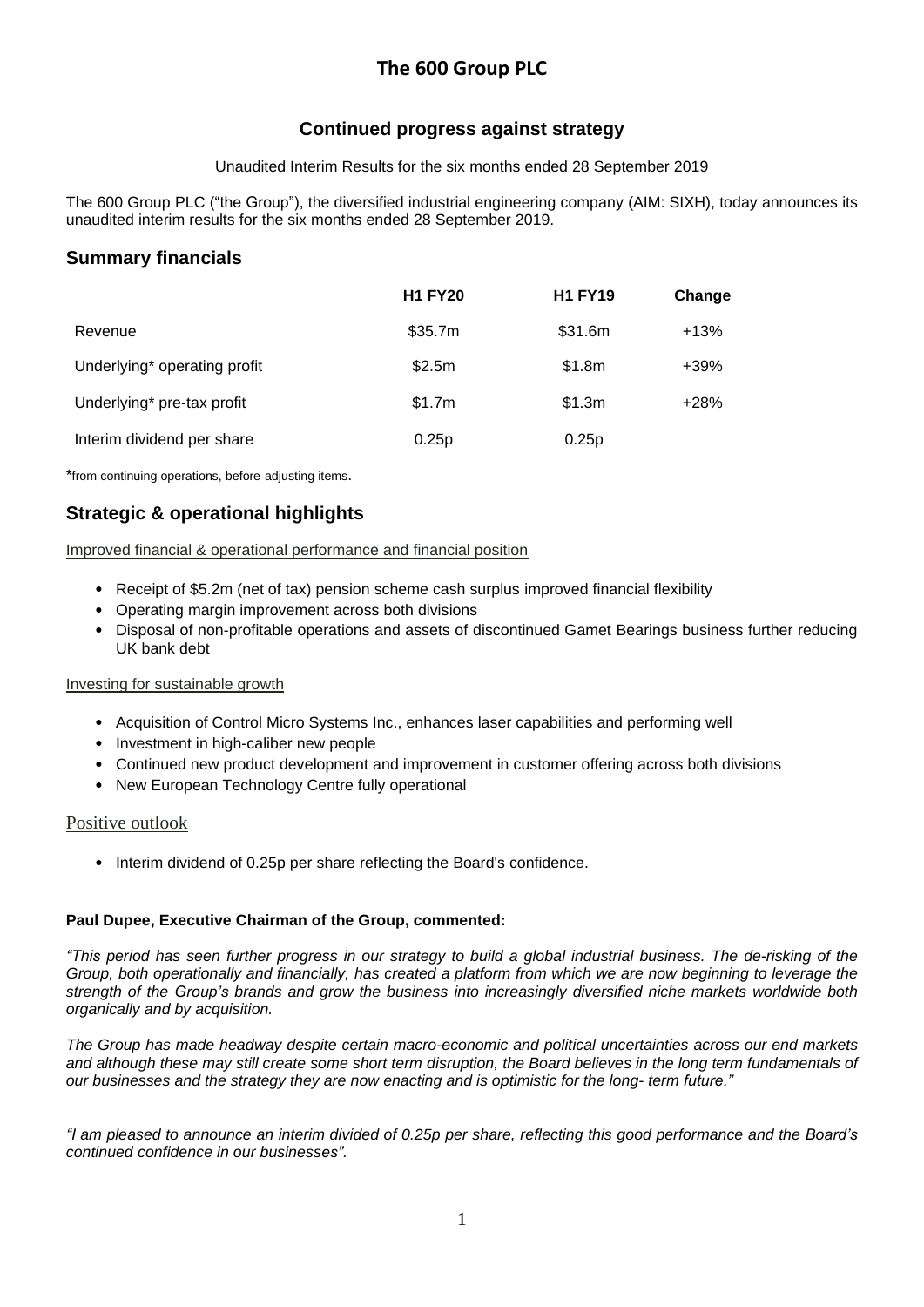# **The 600 Group PLC**

# **Continued progress against strategy**

Unaudited Interim Results for the six months ended 28 September 2019

The 600 Group PLC ("the Group"), the diversified industrial engineering company (AIM: SIXH), today announces its unaudited interim results for the six months ended 28 September 2019.

# **Summary financials**

|                              | <b>H1 FY20</b> | <b>H1 FY19</b> | Change |
|------------------------------|----------------|----------------|--------|
| Revenue                      | \$35.7m        | \$31.6m        | $+13%$ |
| Underlying* operating profit | \$2.5m         | \$1.8m         | $+39%$ |
| Underlying* pre-tax profit   | \$1.7m         | \$1.3m         | $+28%$ |
| Interim dividend per share   | 0.25p          | 0.25p          |        |

\*from continuing operations, before adjusting items.

# **Strategic & operational highlights**

## Improved financial & operational performance and financial position

- Receipt of \$5.2m (net of tax) pension scheme cash surplus improved financial flexibility
- Operating margin improvement across both divisions
- Disposal of non-profitable operations and assets of discontinued Gamet Bearings business further reducing UK bank debt

## Investing for sustainable growth

- Acquisition of Control Micro Systems Inc., enhances laser capabilities and performing well
- Investment in high-caliber new people
- Continued new product development and improvement in customer offering across both divisions
- New European Technology Centre fully operational

## Positive outlook

• Interim dividend of 0.25p per share reflecting the Board's confidence.

## **Paul Dupee, Executive Chairman of the Group, commented:**

"This period has seen further progress in our strategy to build a global industrial business. The de-risking of the Group, both operationally and financially, has created a platform from which we are now beginning to leverage the *strength of the Group's brands and grow the business into increasingly diversified niche markets worldwide both organically and by acquisition.*

*The Group has made headway despite certain macro-economic and political uncertainties across our end markets* and although these may still create some short term disruption, the Board believes in the long term fundamentals of *our businesses and the strategy they are now enacting and is optimistic for the long- term future."*

"I am pleased to announce an interim divided of 0.25p per share, reflecting this good performance and the Board's *continued confidence in our businesses".*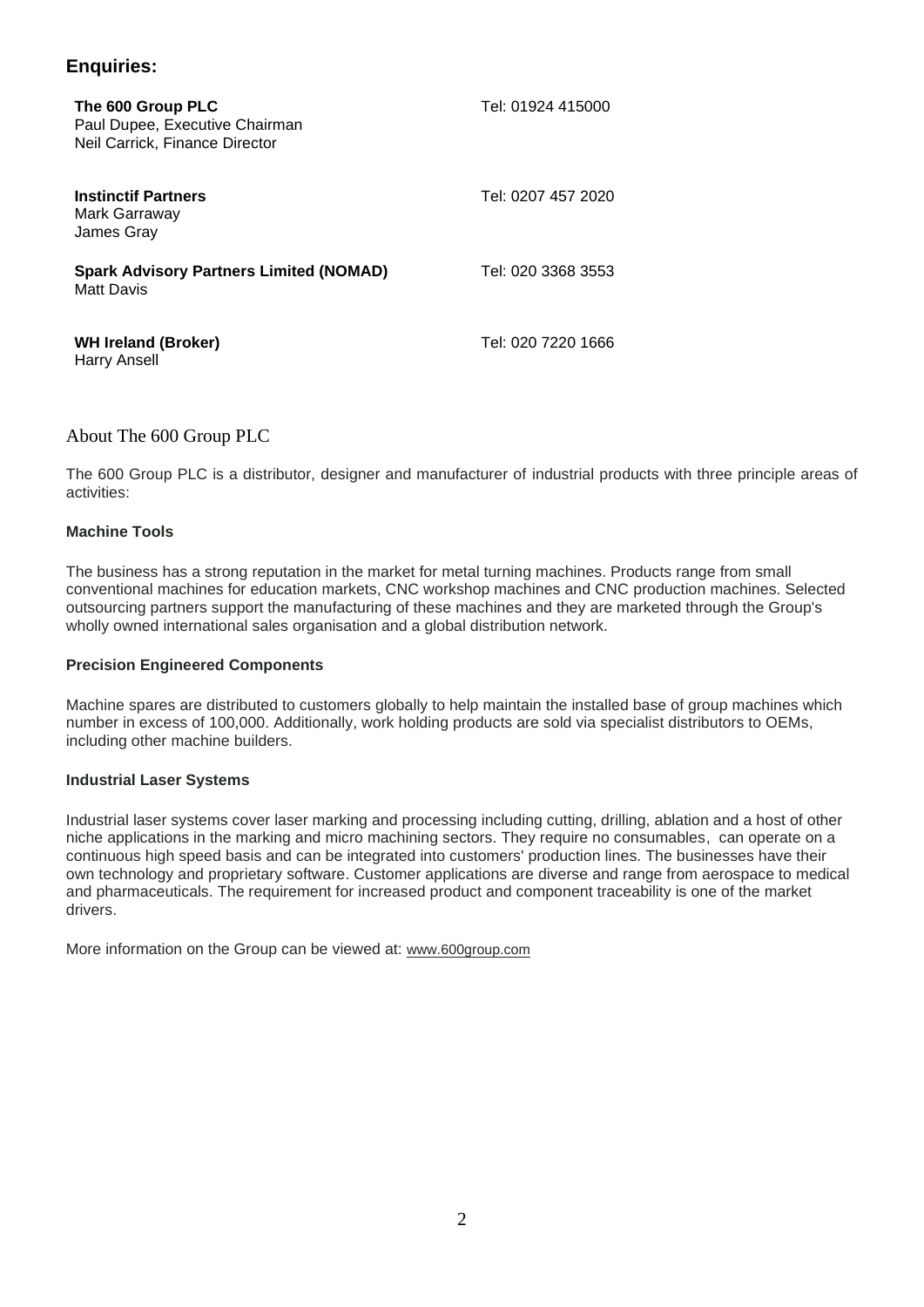# **Enquiries:**

| The 600 Group PLC<br>Paul Dupee, Executive Chairman<br>Neil Carrick. Finance Director | Tel: 01924 415000  |
|---------------------------------------------------------------------------------------|--------------------|
| <b>Instinctif Partners</b><br>Mark Garraway<br>James Gray                             | Tel: 0207 457 2020 |
| <b>Spark Advisory Partners Limited (NOMAD)</b><br>Matt Davis                          | Tel: 020 3368 3553 |
| <b>WH Ireland (Broker)</b><br><b>Harry Ansell</b>                                     | Tel: 020 7220 1666 |

## About The 600 Group PLC

The 600 Group PLC is a distributor, designer and manufacturer of industrial products with three principle areas of activities:

## **Machine Tools**

The business has a strong reputation in the market for metal turning machines. Products range from small conventional machines for education markets, CNC workshop machines and CNC production machines. Selected outsourcing partners support the manufacturing of these machines and they are marketed through the Group's wholly owned international sales organisation and a global distribution network.

## **Precision Engineered Components**

Machine spares are distributed to customers globally to help maintain the installed base of group machines which number in excess of 100,000. Additionally, work holding products are sold via specialist distributors to OEMs, including other machine builders.

## **Industrial Laser Systems**

Industrial laser systems cover laser marking and processing including cutting, drilling, ablation and a host of other niche applications in the marking and micro machining sectors. They require no consumables, can operate on a continuous high speed basis and can be integrated into customers' production lines. The businesses have their own technology and proprietary software. Customer applications are diverse and range from aerospace to medical and pharmaceuticals. The requirement for increased product and component traceability is one of the market drivers.

More information on the Group can be viewed at: [www.600group.com](http://www.600group.com/)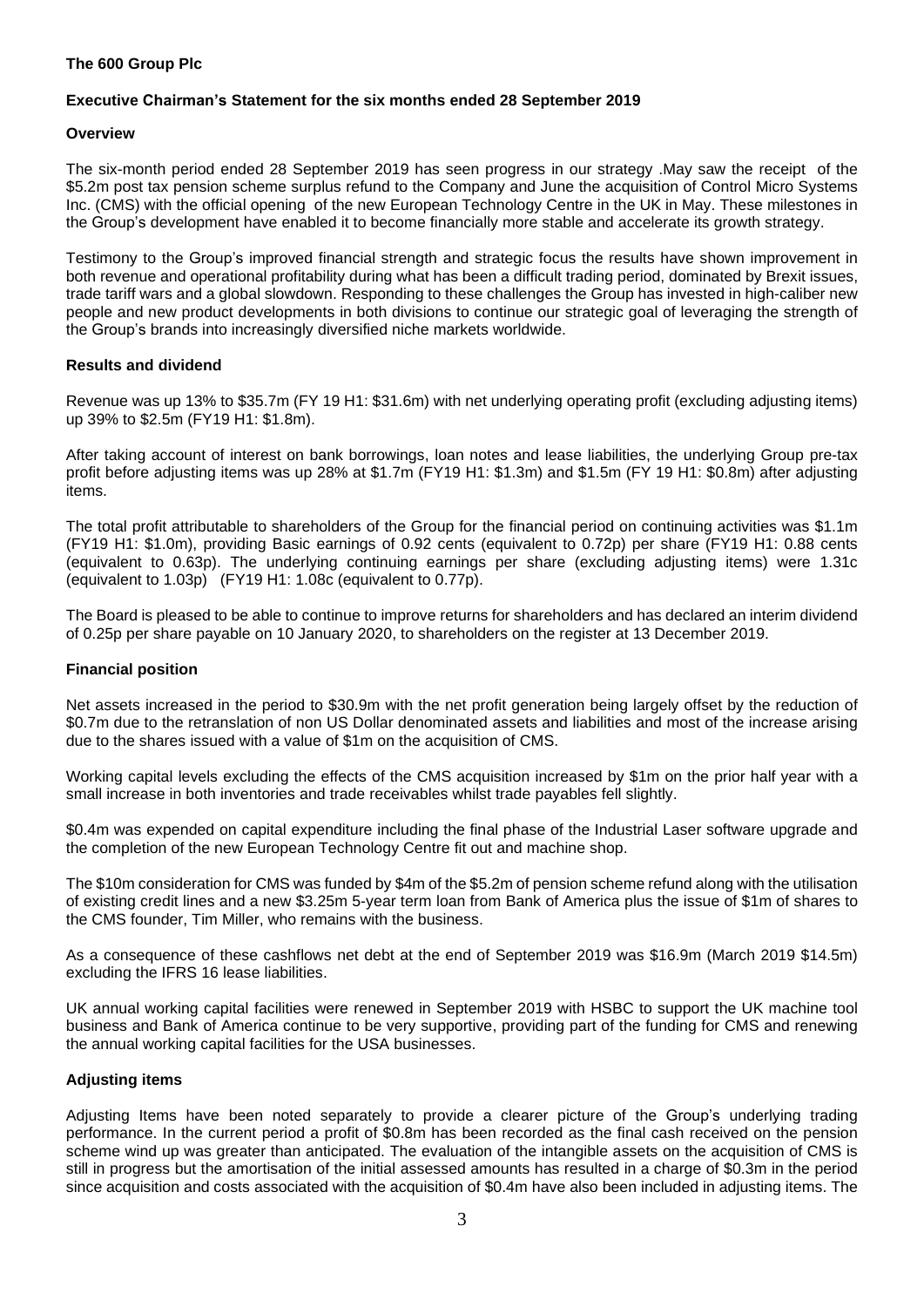## **The 600 Group Plc**

## **Executive Chairman's Statement for the six months ended 28 September 2019**

## **Overview**

The six-month period ended 28 September 2019 has seen progress in our strategy .May saw the receipt of the \$5.2m post tax pension scheme surplus refund to the Company and June the acquisition of Control Micro Systems Inc. (CMS) with the official opening of the new European Technology Centre in the UK in May. These milestones in the Group's development have enabled it to become financially more stable and accelerate its growth strategy.

Testimony to the Group's improved financial strength and strategic focus the results have shown improvement in both revenue and operational profitability during what has been a difficult trading period, dominated by Brexit issues, trade tariff wars and a global slowdown. Responding to these challenges the Group has invested in high-caliber new people and new product developments in both divisions to continue our strategic goal of leveraging the strength of the Group's brands into increasingly diversified niche markets worldwide.

## **Results and dividend**

Revenue was up 13% to \$35.7m (FY 19 H1: \$31.6m) with net underlying operating profit (excluding adjusting items) up 39% to \$2.5m (FY19 H1: \$1.8m).

After taking account of interest on bank borrowings, loan notes and lease liabilities, the underlying Group pre-tax profit before adjusting items was up 28% at \$1.7m (FY19 H1: \$1.3m) and \$1.5m (FY 19 H1: \$0.8m) after adjusting items.

The total profit attributable to shareholders of the Group for the financial period on continuing activities was \$1.1m (FY19 H1: \$1.0m), providing Basic earnings of 0.92 cents (equivalent to 0.72p) per share (FY19 H1: 0.88 cents (equivalent to 0.63p). The underlying continuing earnings per share (excluding adjusting items) were 1.31c (equivalent to 1.03p) (FY19 H1: 1.08c (equivalent to 0.77p).

The Board is pleased to be able to continue to improve returns for shareholders and has declared an interim dividend of 0.25p per share payable on 10 January 2020, to shareholders on the register at 13 December 2019.

## **Financial position**

Net assets increased in the period to \$30.9m with the net profit generation being largely offset by the reduction of \$0.7m due to the retranslation of non US Dollar denominated assets and liabilities and most of the increase arising due to the shares issued with a value of \$1m on the acquisition of CMS.

Working capital levels excluding the effects of the CMS acquisition increased by \$1m on the prior half year with a small increase in both inventories and trade receivables whilst trade payables fell slightly.

\$0.4m was expended on capital expenditure including the final phase of the Industrial Laser software upgrade and the completion of the new European Technology Centre fit out and machine shop.

The \$10m consideration for CMS was funded by \$4m of the \$5.2m of pension scheme refund along with the utilisation of existing credit lines and a new \$3.25m 5-year term loan from Bank of America plus the issue of \$1m of shares to the CMS founder, Tim Miller, who remains with the business.

As a consequence of these cashflows net debt at the end of September 2019 was \$16.9m (March 2019 \$14.5m) excluding the IFRS 16 lease liabilities.

UK annual working capital facilities were renewed in September 2019 with HSBC to support the UK machine tool business and Bank of America continue to be very supportive, providing part of the funding for CMS and renewing the annual working capital facilities for the USA businesses.

## **Adjusting items**

Adjusting Items have been noted separately to provide a clearer picture of the Group's underlying trading performance. In the current period a profit of \$0.8m has been recorded as the final cash received on the pension scheme wind up was greater than anticipated. The evaluation of the intangible assets on the acquisition of CMS is still in progress but the amortisation of the initial assessed amounts has resulted in a charge of \$0.3m in the period since acquisition and costs associated with the acquisition of \$0.4m have also been included in adjusting items. The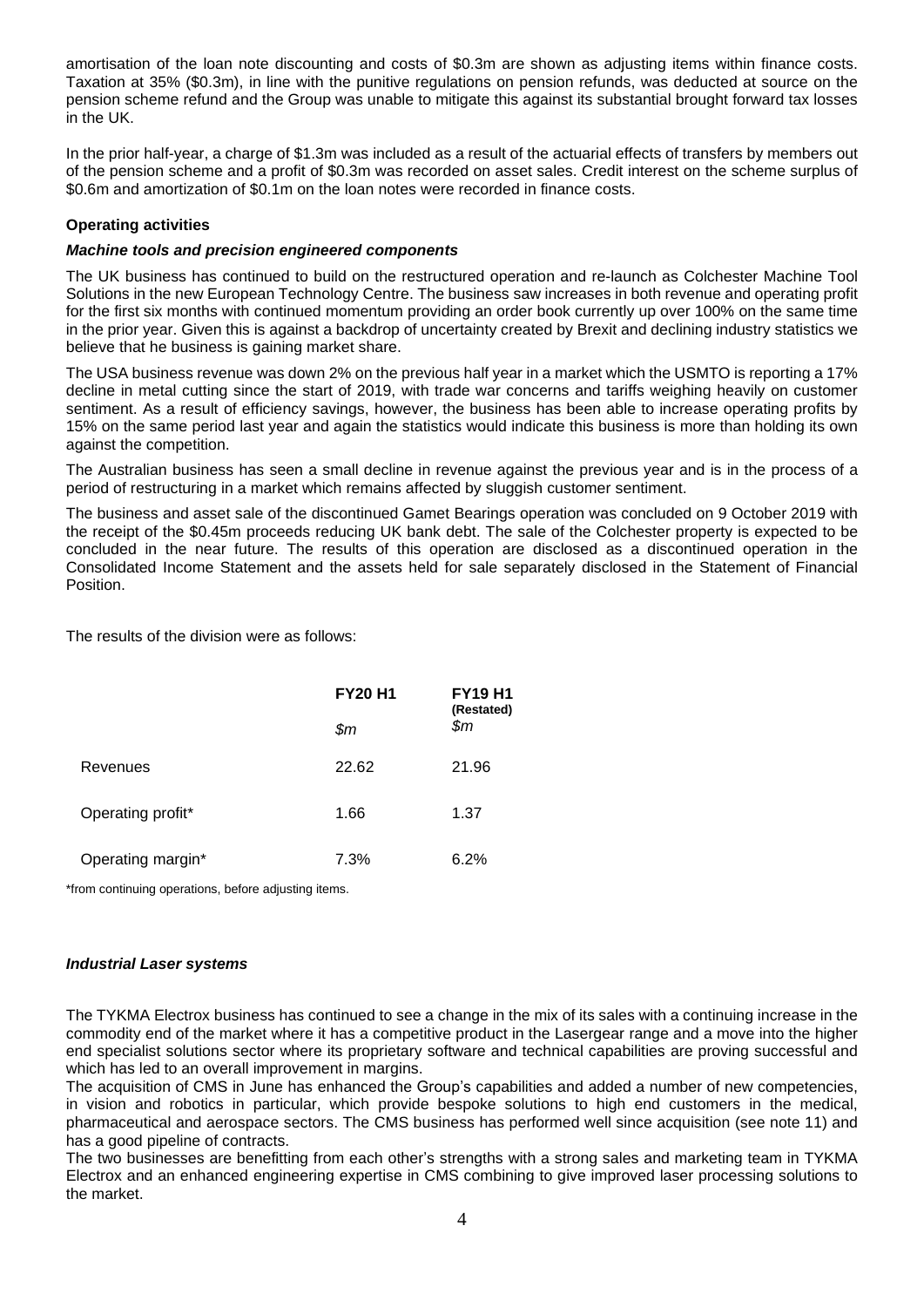amortisation of the loan note discounting and costs of \$0.3m are shown as adjusting items within finance costs. Taxation at 35% (\$0.3m), in line with the punitive regulations on pension refunds, was deducted at source on the pension scheme refund and the Group was unable to mitigate this against its substantial brought forward tax losses in the UK.

In the prior half-year, a charge of \$1.3m was included as a result of the actuarial effects of transfers by members out of the pension scheme and a profit of \$0.3m was recorded on asset sales. Credit interest on the scheme surplus of \$0.6m and amortization of \$0.1m on the loan notes were recorded in finance costs.

## **Operating activities**

## *Machine tools and precision engineered components*

The UK business has continued to build on the restructured operation and re-launch as Colchester Machine Tool Solutions in the new European Technology Centre. The business saw increases in both revenue and operating profit for the first six months with continued momentum providing an order book currently up over 100% on the same time in the prior year. Given this is against a backdrop of uncertainty created by Brexit and declining industry statistics we believe that he business is gaining market share.

The USA business revenue was down 2% on the previous half year in a market which the USMTO is reporting a 17% decline in metal cutting since the start of 2019, with trade war concerns and tariffs weighing heavily on customer sentiment. As a result of efficiency savings, however, the business has been able to increase operating profits by 15% on the same period last year and again the statistics would indicate this business is more than holding its own against the competition.

The Australian business has seen a small decline in revenue against the previous year and is in the process of a period of restructuring in a market which remains affected by sluggish customer sentiment.

The business and asset sale of the discontinued Gamet Bearings operation was concluded on 9 October 2019 with the receipt of the \$0.45m proceeds reducing UK bank debt. The sale of the Colchester property is expected to be concluded in the near future. The results of this operation are disclosed as a discontinued operation in the Consolidated Income Statement and the assets held for sale separately disclosed in the Statement of Financial Position.

The results of the division were as follows:

|                   | <b>FY20 H1</b> | <b>FY19 H1</b><br>(Restated) |  |
|-------------------|----------------|------------------------------|--|
|                   | \$m            | \$m                          |  |
| Revenues          | 22.62          | 21.96                        |  |
| Operating profit* | 1.66           | 1.37                         |  |
| Operating margin* | 7.3%           | 6.2%                         |  |

\*from continuing operations, before adjusting items.

## *Industrial Laser systems*

The TYKMA Electrox business has continued to see a change in the mix of its sales with a continuing increase in the commodity end of the market where it has a competitive product in the Lasergear range and a move into the higher end specialist solutions sector where its proprietary software and technical capabilities are proving successful and which has led to an overall improvement in margins.

The acquisition of CMS in June has enhanced the Group's capabilities and added a number of new competencies, in vision and robotics in particular, which provide bespoke solutions to high end customers in the medical, pharmaceutical and aerospace sectors. The CMS business has performed well since acquisition (see note 11) and has a good pipeline of contracts.

The two businesses are benefitting from each other's strengths with a strong sales and marketing team in TYKMA Electrox and an enhanced engineering expertise in CMS combining to give improved laser processing solutions to the market.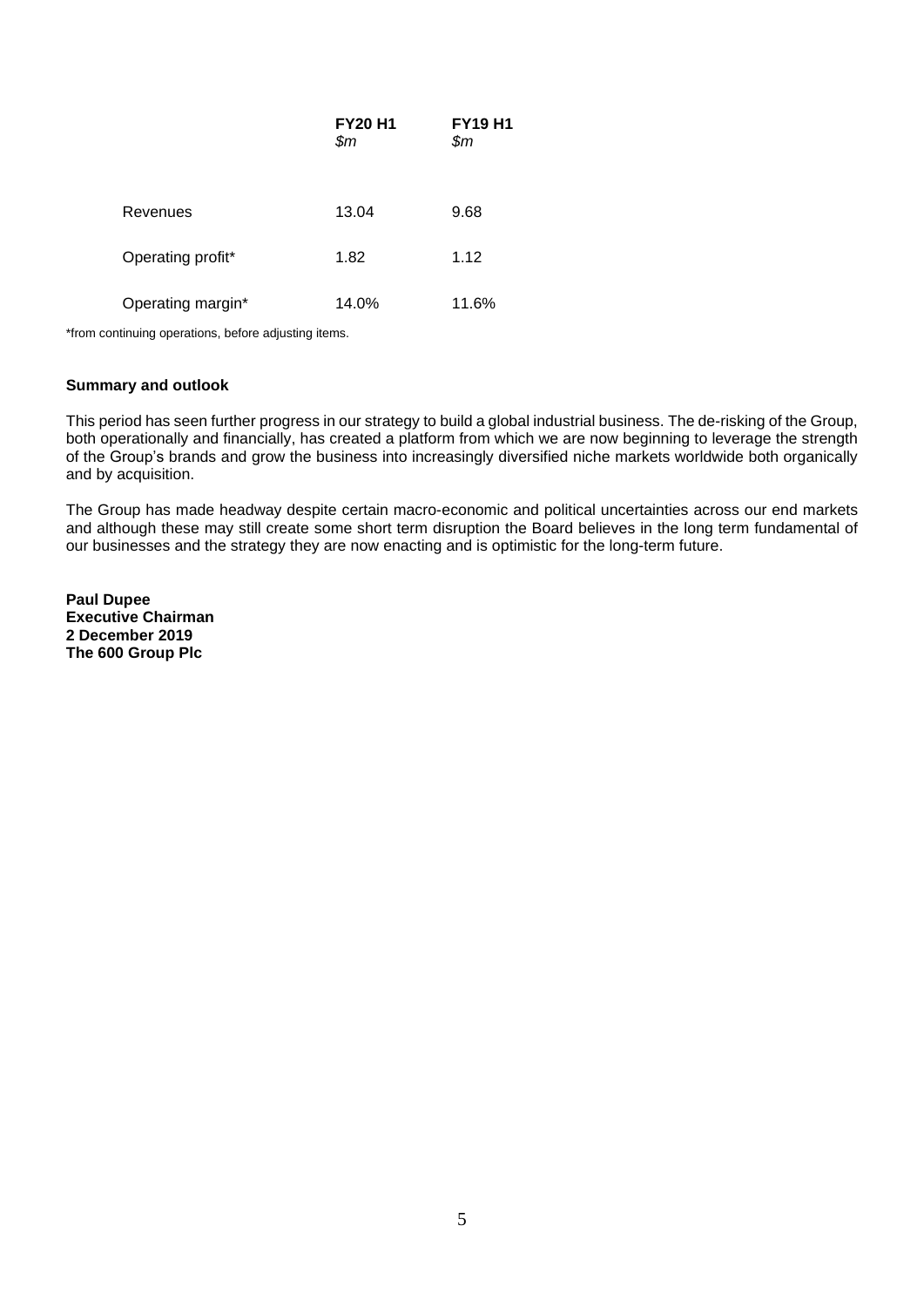|                   | <b>FY20 H1</b><br>\$m\$ | <b>FY19 H1</b><br>\$m\$ |
|-------------------|-------------------------|-------------------------|
| Revenues          | 13.04                   | 9.68                    |
| Operating profit* | 1.82                    | 1.12                    |
| Operating margin* | 14.0%                   | 11.6%                   |

\*from continuing operations, before adjusting items.

## **Summary and outlook**

This period has seen further progress in our strategy to build a global industrial business. The de-risking of the Group, both operationally and financially, has created a platform from which we are now beginning to leverage the strength of the Group's brands and grow the business into increasingly diversified niche markets worldwide both organically and by acquisition.

The Group has made headway despite certain macro-economic and political uncertainties across our end markets and although these may still create some short term disruption the Board believes in the long term fundamental of our businesses and the strategy they are now enacting and is optimistic for the long-term future.

**Paul Dupee Executive Chairman 2 December 2019 The 600 Group Plc**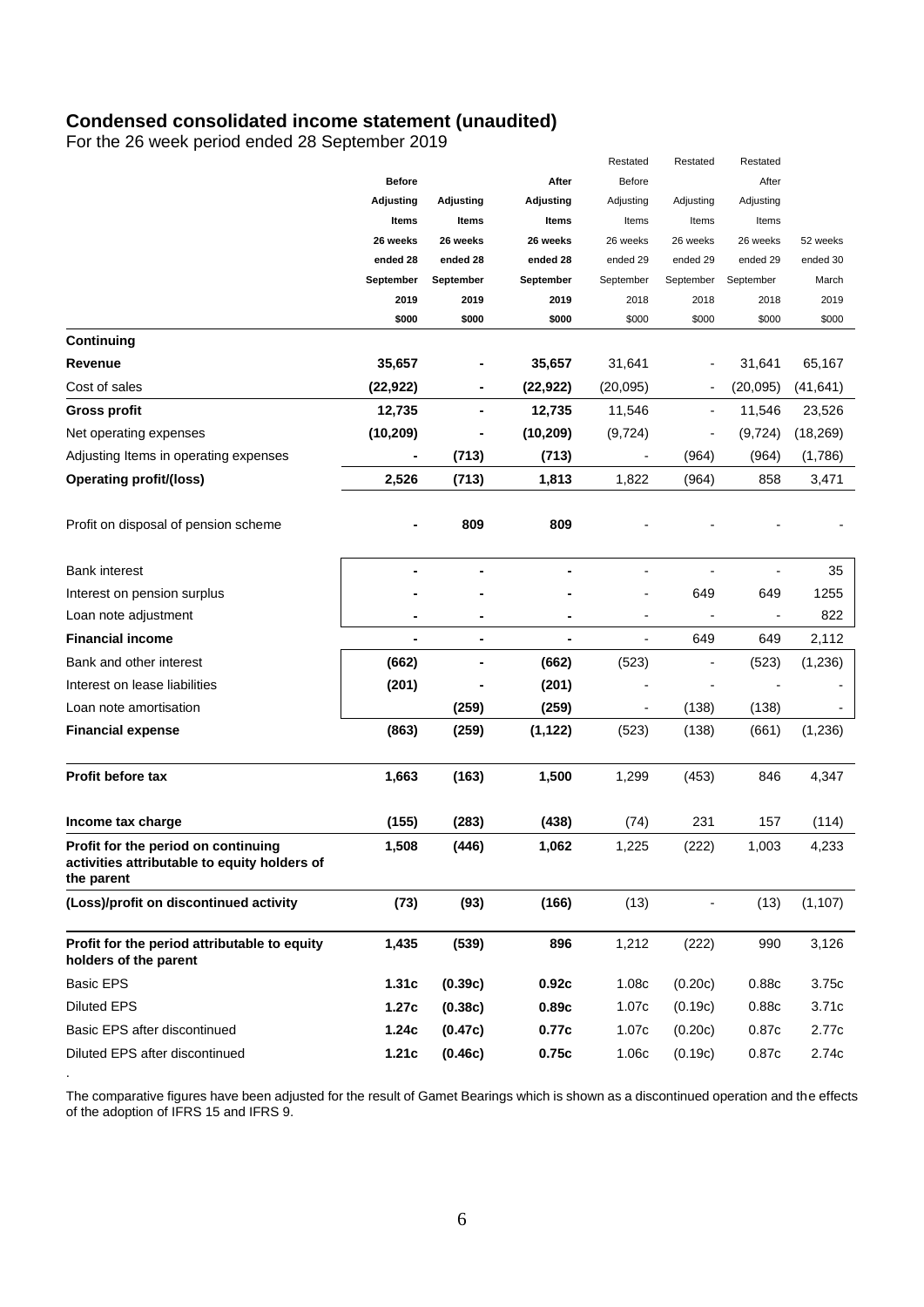## **Condensed consolidated income statement (unaudited)**

For the 26 week period ended 28 September 2019

.

|                                                                                                   |                  |                |                | Restated                 | Restated                 | Restated  |           |
|---------------------------------------------------------------------------------------------------|------------------|----------------|----------------|--------------------------|--------------------------|-----------|-----------|
|                                                                                                   | <b>Before</b>    |                | After          | Before                   |                          | After     |           |
|                                                                                                   | <b>Adjusting</b> | Adjusting      | Adjusting      | Adjusting                | Adjusting                | Adjusting |           |
|                                                                                                   | Items            | Items          | Items          | Items                    | Items                    | Items     |           |
|                                                                                                   | 26 weeks         | 26 weeks       | 26 weeks       | 26 weeks                 | 26 weeks                 | 26 weeks  | 52 weeks  |
|                                                                                                   | ended 28         | ended 28       | ended 28       | ended 29                 | ended 29                 | ended 29  | ended 30  |
|                                                                                                   | September        | September      | September      | September                | September                | September | March     |
|                                                                                                   | 2019             | 2019           | 2019           | 2018                     | 2018                     | 2018      | 2019      |
|                                                                                                   | \$000            | \$000          | \$000          | \$000                    | \$000                    | \$000     | \$000     |
| Continuing                                                                                        |                  |                |                |                          |                          |           |           |
| Revenue                                                                                           | 35,657           |                | 35,657         | 31,641                   |                          | 31,641    | 65,167    |
| Cost of sales                                                                                     | (22, 922)        |                | (22, 922)      | (20, 095)                | $\blacksquare$           | (20, 095) | (41, 641) |
| <b>Gross profit</b>                                                                               | 12,735           |                | 12,735         | 11,546                   | $\overline{\phantom{a}}$ | 11,546    | 23,526    |
| Net operating expenses                                                                            | (10, 209)        | $\blacksquare$ | (10, 209)      | (9, 724)                 | ÷                        | (9, 724)  | (18, 269) |
| Adjusting Items in operating expenses                                                             |                  | (713)          | (713)          |                          | (964)                    | (964)     | (1,786)   |
| <b>Operating profit/(loss)</b>                                                                    | 2,526            | (713)          | 1,813          | 1,822                    | (964)                    | 858       | 3,471     |
| Profit on disposal of pension scheme                                                              |                  | 809            | 809            |                          |                          |           |           |
| <b>Bank interest</b>                                                                              |                  |                |                |                          |                          |           | 35        |
| Interest on pension surplus                                                                       |                  |                |                |                          | 649                      | 649       | 1255      |
| Loan note adjustment                                                                              |                  |                |                |                          |                          |           | 822       |
| <b>Financial income</b>                                                                           | ٠                |                | $\blacksquare$ | $\overline{\phantom{0}}$ | 649                      | 649       | 2,112     |
| Bank and other interest                                                                           | (662)            |                | (662)          | (523)                    | $\overline{a}$           | (523)     | (1,236)   |
| Interest on lease liabilities                                                                     | (201)            |                | (201)          |                          |                          |           |           |
| Loan note amortisation                                                                            |                  | (259)          | (259)          |                          | (138)                    | (138)     |           |
| <b>Financial expense</b>                                                                          | (863)            | (259)          | (1, 122)       | (523)                    | (138)                    | (661)     | (1,236)   |
|                                                                                                   |                  |                |                |                          |                          |           |           |
| <b>Profit before tax</b>                                                                          | 1,663            | (163)          | 1,500          | 1,299                    | (453)                    | 846       | 4,347     |
| Income tax charge                                                                                 | (155)            | (283)          | (438)          | (74)                     | 231                      | 157       | (114)     |
| Profit for the period on continuing<br>activities attributable to equity holders of<br>the parent | 1,508            | (446)          | 1,062          | 1,225                    | (222)                    | 1,003     | 4,233     |
| (Loss)/profit on discontinued activity                                                            | (73)             | (93)           | (166)          | (13)                     | $\blacksquare$           | (13)      | (1, 107)  |
| Profit for the period attributable to equity<br>holders of the parent                             | 1,435            | (539)          | 896            | 1,212                    | (222)                    | 990       | 3,126     |
| <b>Basic EPS</b>                                                                                  | 1.31c            | (0.39c)        | 0.92c          | 1.08c                    | (0.20c)                  | 0.88c     | 3.75c     |
| <b>Diluted EPS</b>                                                                                | 1.27c            | (0.38c)        | 0.89c          | 1.07c                    | (0.19c)                  | 0.88c     | 3.71c     |
| Basic EPS after discontinued                                                                      | 1.24c            | (0.47c)        | 0.77c          | 1.07c                    | (0.20c)                  | 0.87c     | 2.77c     |
| Diluted EPS after discontinued                                                                    | 1.21c            | (0.46c)        | 0.75c          | 1.06c                    | (0.19c)                  | 0.87c     | 2.74c     |

The comparative figures have been adjusted for the result of Gamet Bearings which is shown as a discontinued operation and the effects of the adoption of IFRS 15 and IFRS 9.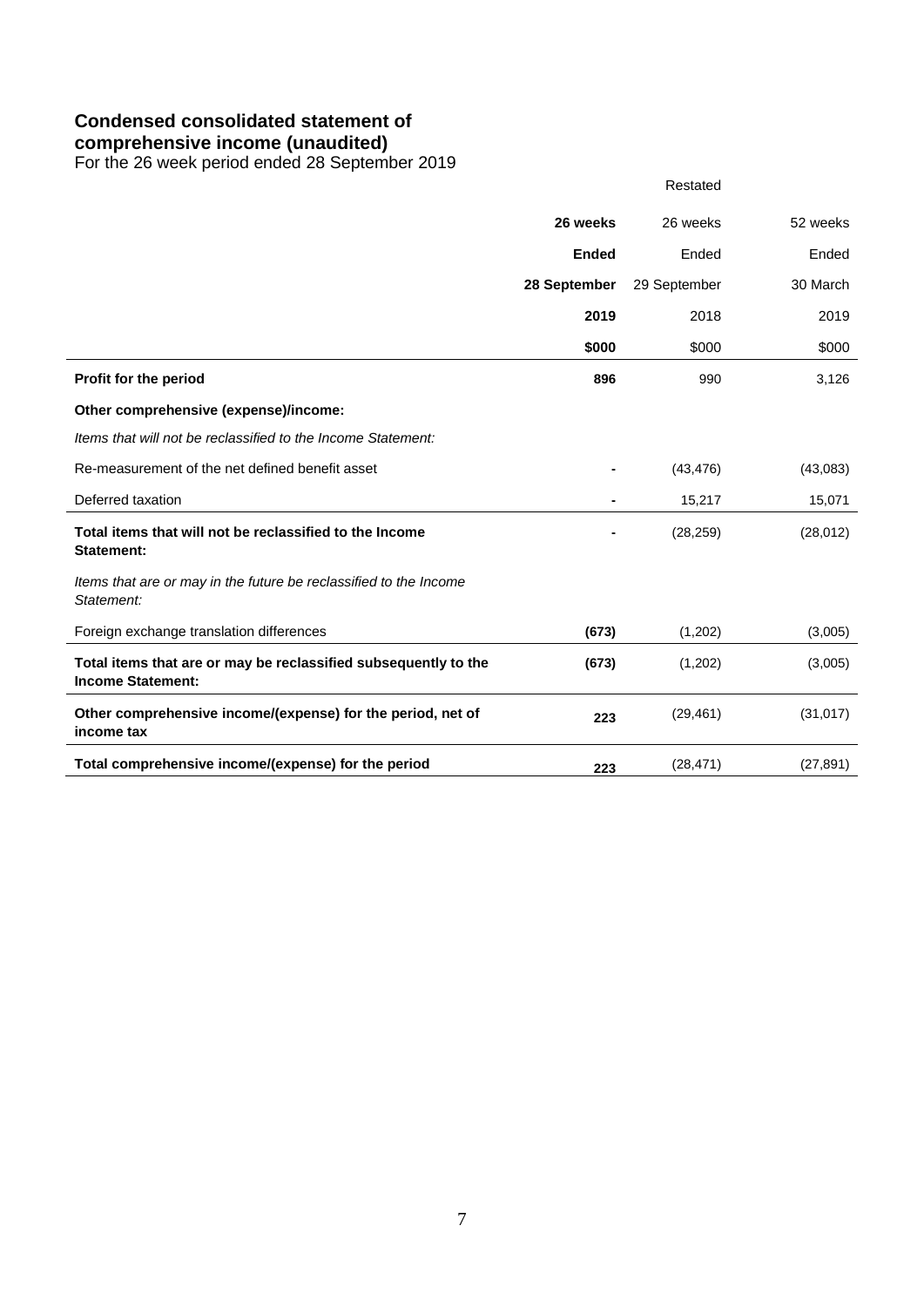# **Condensed consolidated statement of**

## **comprehensive income (unaudited)**

For the 26 week period ended 28 September 2019

|                                                                                             | 26 weeks     | 26 weeks     | 52 weeks  |
|---------------------------------------------------------------------------------------------|--------------|--------------|-----------|
|                                                                                             | <b>Ended</b> | Ended        | Ended     |
|                                                                                             | 28 September | 29 September | 30 March  |
|                                                                                             | 2019         | 2018         | 2019      |
|                                                                                             | \$000        | \$000        | \$000     |
| Profit for the period                                                                       | 896          | 990          | 3,126     |
| Other comprehensive (expense)/income:                                                       |              |              |           |
| Items that will not be reclassified to the Income Statement:                                |              |              |           |
| Re-measurement of the net defined benefit asset                                             |              | (43, 476)    | (43,083)  |
| Deferred taxation                                                                           |              | 15,217       | 15,071    |
| Total items that will not be reclassified to the Income<br><b>Statement:</b>                |              | (28, 259)    | (28, 012) |
| Items that are or may in the future be reclassified to the Income<br>Statement:             |              |              |           |
| Foreign exchange translation differences                                                    | (673)        | (1,202)      | (3,005)   |
| Total items that are or may be reclassified subsequently to the<br><b>Income Statement:</b> | (673)        | (1,202)      | (3,005)   |
| Other comprehensive income/(expense) for the period, net of<br>income tax                   | 223          | (29, 461)    | (31, 017) |
| Total comprehensive income/(expense) for the period                                         | 223          | (28, 471)    | (27, 891) |

Restated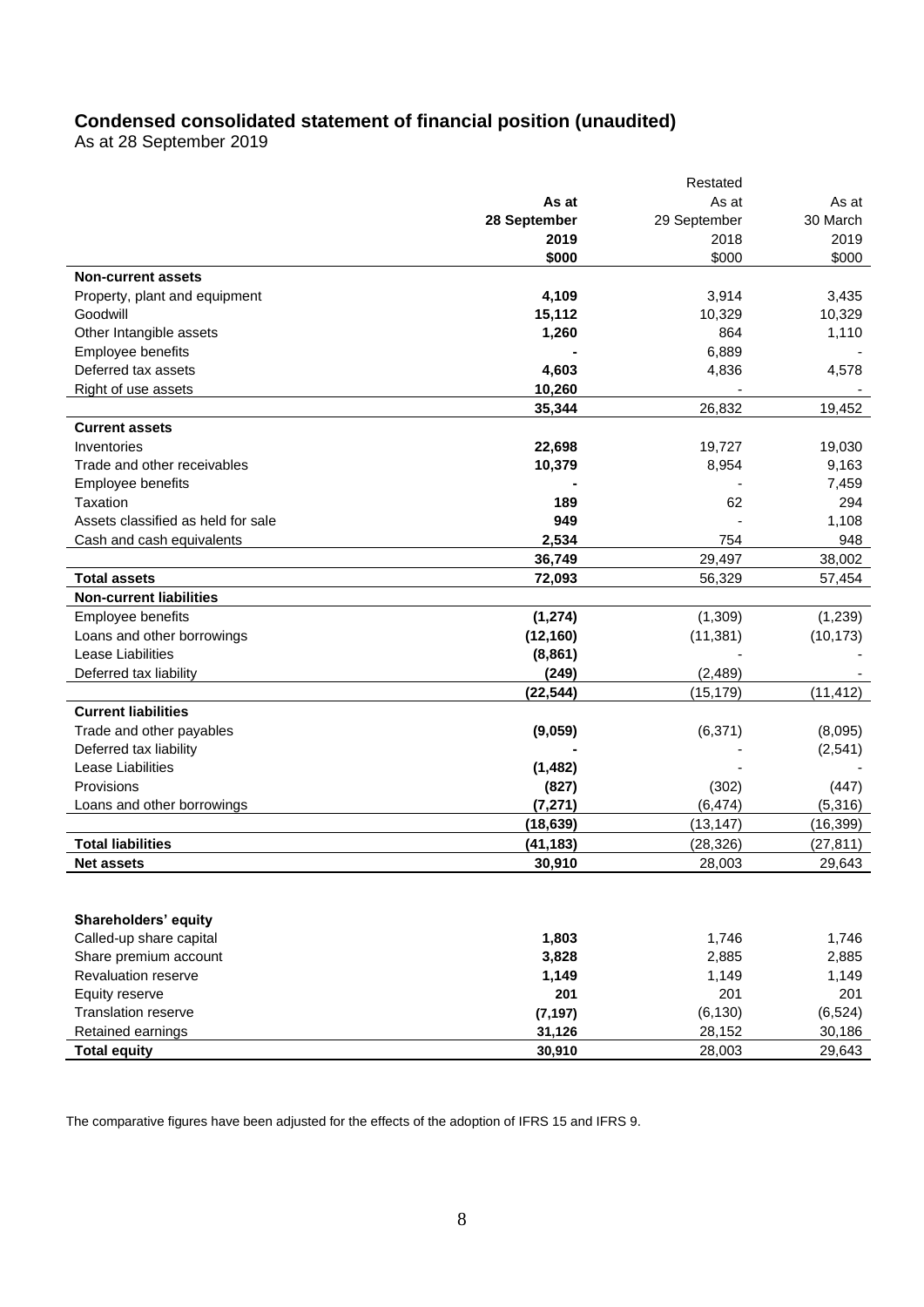## **Condensed consolidated statement of financial position (unaudited)**

As at 28 September 2019

|                                    |              | Restated     |           |
|------------------------------------|--------------|--------------|-----------|
|                                    | As at        | As at        | As at     |
|                                    | 28 September | 29 September | 30 March  |
|                                    | 2019         | 2018         | 2019      |
|                                    | \$000        | \$000        | \$000     |
| <b>Non-current assets</b>          |              |              |           |
| Property, plant and equipment      | 4,109        | 3,914        | 3,435     |
| Goodwill                           | 15,112       | 10,329       | 10,329    |
| Other Intangible assets            | 1,260        | 864          | 1,110     |
| Employee benefits                  |              | 6,889        |           |
| Deferred tax assets                | 4,603        | 4,836        | 4,578     |
| Right of use assets                | 10,260       |              |           |
|                                    | 35,344       | 26,832       | 19,452    |
| <b>Current assets</b>              |              |              |           |
| Inventories                        | 22,698       | 19,727       | 19,030    |
| Trade and other receivables        | 10,379       | 8,954        | 9,163     |
| Employee benefits                  |              |              | 7,459     |
| Taxation                           | 189          | 62           | 294       |
| Assets classified as held for sale | 949          |              | 1,108     |
| Cash and cash equivalents          | 2,534        | 754          | 948       |
|                                    | 36,749       | 29,497       | 38,002    |
| <b>Total assets</b>                | 72,093       | 56,329       | 57,454    |
| <b>Non-current liabilities</b>     |              |              |           |
| Employee benefits                  | (1, 274)     | (1,309)      | (1, 239)  |
| Loans and other borrowings         | (12, 160)    | (11, 381)    | (10, 173) |
| Lease Liabilities                  | (8, 861)     |              |           |
| Deferred tax liability             | (249)        | (2, 489)     |           |
|                                    | (22, 544)    | (15, 179)    | (11, 412) |
| <b>Current liabilities</b>         |              |              |           |
| Trade and other payables           | (9,059)      | (6, 371)     | (8,095)   |
| Deferred tax liability             |              |              | (2,541)   |
| Lease Liabilities                  | (1, 482)     |              |           |
| Provisions                         | (827)        | (302)        | (447)     |
| Loans and other borrowings         | (7, 271)     | (6, 474)     | (5,316)   |
|                                    | (18, 639)    | (13, 147)    | (16, 399) |
| <b>Total liabilities</b>           | (41, 183)    | (28, 326)    | (27, 811) |
| <b>Net assets</b>                  | 30,910       | 28,003       | 29,643    |
|                                    |              |              |           |
|                                    |              |              |           |
| Shareholders' equity               |              |              |           |
| Called-up share capital            | 1,803        | 1,746        | 1,746     |
| Share premium account              | 3,828        | 2,885        | 2,885     |
| Revaluation reserve                | 1,149        | 1,149        | 1,149     |
| Equity reserve                     | 201          | 201          | 201       |
| Translation reserve                | (7, 197)     | (6, 130)     | (6, 524)  |
| Retained earnings                  | 31,126       | 28,152       | 30,186    |
| <b>Total equity</b>                | 30,910       | 28,003       | 29,643    |
|                                    |              |              |           |

The comparative figures have been adjusted for the effects of the adoption of IFRS 15 and IFRS 9.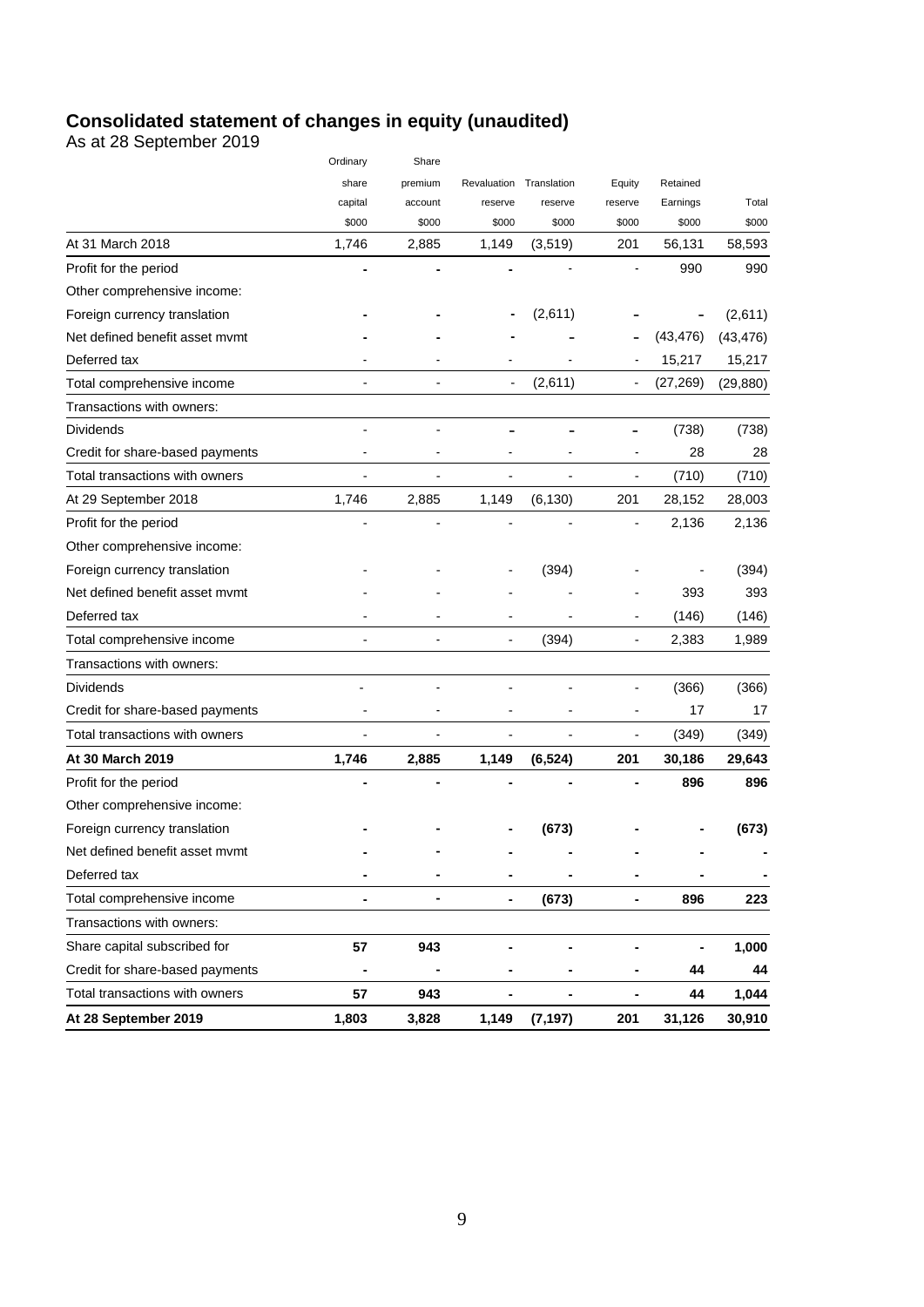## **Consolidated statement of changes in equity (unaudited)**

As at 28 September 2019

|                                 | Ordinary | Share   |                              |                         |                |           |           |
|---------------------------------|----------|---------|------------------------------|-------------------------|----------------|-----------|-----------|
|                                 | share    | premium |                              | Revaluation Translation | Equity         | Retained  |           |
|                                 | capital  | account | reserve                      | reserve                 | reserve        | Earnings  | Total     |
|                                 | \$000    | \$000   | \$000                        | \$000                   | \$000          | \$000     | \$000     |
| At 31 March 2018                | 1,746    | 2,885   | 1,149                        | (3,519)                 | 201            | 56,131    | 58,593    |
| Profit for the period           |          |         |                              |                         |                | 990       | 990       |
| Other comprehensive income:     |          |         |                              |                         |                |           |           |
| Foreign currency translation    |          |         |                              | (2,611)                 |                |           | (2,611)   |
| Net defined benefit asset mymt  |          |         |                              |                         |                | (43, 476) | (43, 476) |
| Deferred tax                    |          |         |                              |                         |                | 15,217    | 15,217    |
| Total comprehensive income      |          |         |                              | (2,611)                 | $\overline{a}$ | (27,269)  | (29, 880) |
| Transactions with owners:       |          |         |                              |                         |                |           |           |
| Dividends                       |          |         |                              |                         |                | (738)     | (738)     |
| Credit for share-based payments |          |         |                              |                         |                | 28        | 28        |
| Total transactions with owners  |          |         |                              |                         | ÷              | (710)     | (710)     |
| At 29 September 2018            | 1,746    | 2,885   | 1,149                        | (6, 130)                | 201            | 28,152    | 28,003    |
| Profit for the period           |          |         |                              |                         |                | 2,136     | 2,136     |
| Other comprehensive income:     |          |         |                              |                         |                |           |           |
| Foreign currency translation    |          |         |                              | (394)                   |                |           | (394)     |
| Net defined benefit asset mymt  |          |         |                              |                         |                | 393       | 393       |
| Deferred tax                    |          |         |                              |                         |                | (146)     | (146)     |
| Total comprehensive income      |          |         | $\frac{1}{2}$                | (394)                   | ٠              | 2,383     | 1,989     |
| Transactions with owners:       |          |         |                              |                         |                |           |           |
| Dividends                       |          |         |                              |                         |                | (366)     | (366)     |
| Credit for share-based payments |          |         | $\qquad \qquad \blacksquare$ | ÷                       | ÷              | 17        | 17        |
| Total transactions with owners  |          |         |                              |                         | ٠              | (349)     | (349)     |
| At 30 March 2019                | 1,746    | 2,885   | 1,149                        | (6, 524)                | 201            | 30,186    | 29,643    |
| Profit for the period           |          |         |                              |                         |                | 896       | 896       |
| Other comprehensive income:     |          |         |                              |                         |                |           |           |
| Foreign currency translation    |          |         |                              | (673)                   |                |           | (673)     |
| Net defined benefit asset mvmt  |          |         |                              |                         |                |           |           |
| Deferred tax                    |          |         |                              |                         |                |           |           |
| Total comprehensive income      |          | ۰       | ۰                            | (673)                   |                | 896       | 223       |
| Transactions with owners:       |          |         |                              |                         |                |           |           |
| Share capital subscribed for    | 57       | 943     |                              | -                       | ۰              | -         | 1,000     |
| Credit for share-based payments |          |         |                              |                         |                | 44        | 44        |
| Total transactions with owners  | 57       | 943     |                              | ۰                       | ۰              | 44        | 1,044     |
| At 28 September 2019            | 1,803    | 3,828   | 1,149                        | (7, 197)                | 201            | 31,126    | 30,910    |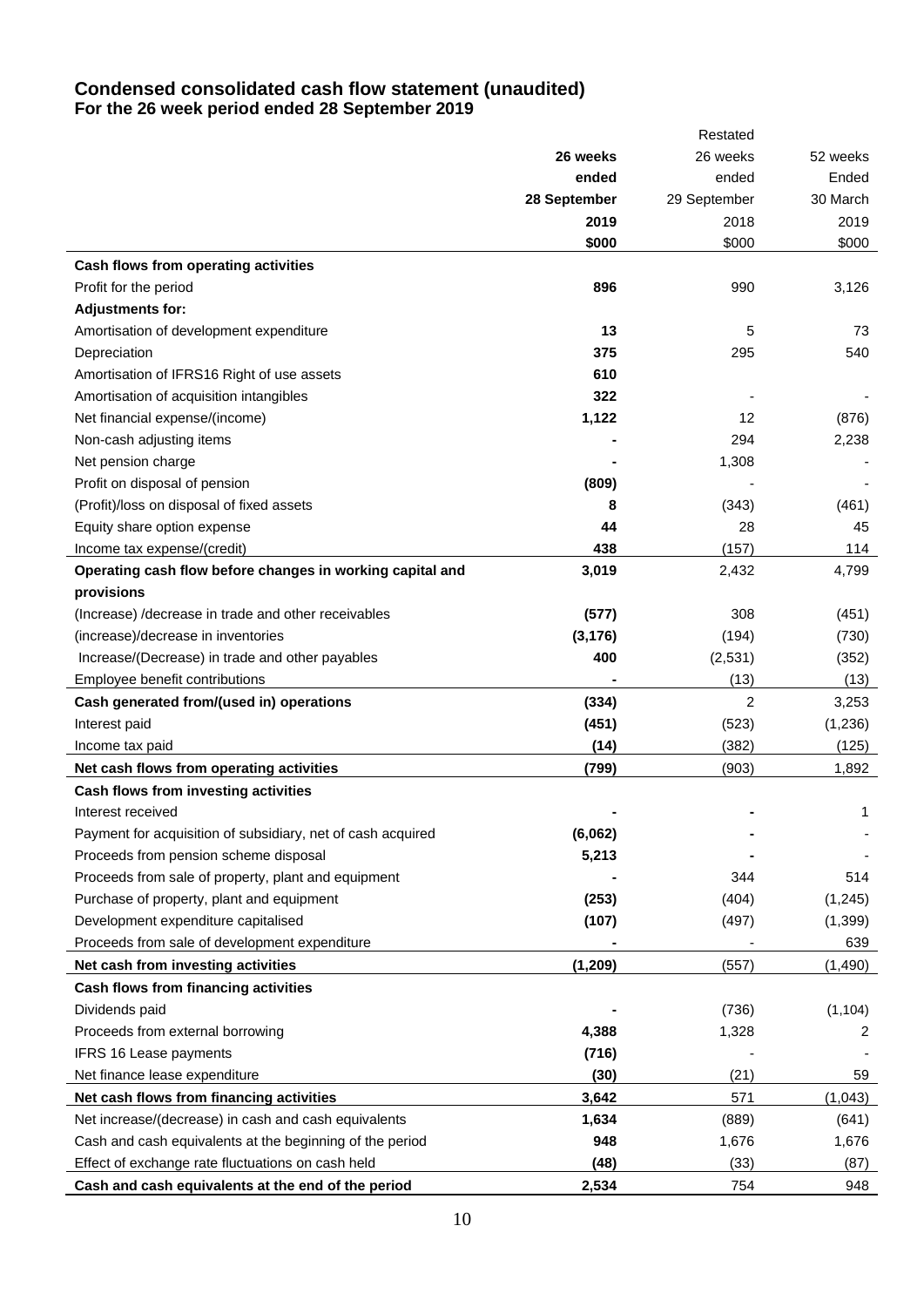## **Condensed consolidated cash flow statement (unaudited) For the 26 week period ended 28 September 2019**

|                                                                                      |              | Restated      |                 |
|--------------------------------------------------------------------------------------|--------------|---------------|-----------------|
|                                                                                      | 26 weeks     | 26 weeks      | 52 weeks        |
|                                                                                      | ended        | ended         | Ended           |
|                                                                                      | 28 September | 29 September  | 30 March        |
|                                                                                      | 2019         | 2018          | 2019            |
|                                                                                      | \$000        | \$000         | \$000           |
| Cash flows from operating activities                                                 |              |               |                 |
| Profit for the period                                                                | 896          | 990           | 3,126           |
| <b>Adjustments for:</b>                                                              |              |               |                 |
| Amortisation of development expenditure                                              | 13           | 5             | 73              |
| Depreciation                                                                         | 375          | 295           | 540             |
| Amortisation of IFRS16 Right of use assets                                           | 610          |               |                 |
| Amortisation of acquisition intangibles                                              | 322          |               |                 |
| Net financial expense/(income)                                                       | 1,122        | 12            | (876)           |
| Non-cash adjusting items                                                             |              | 294           | 2,238           |
| Net pension charge                                                                   |              | 1,308         |                 |
| Profit on disposal of pension                                                        | (809)        |               |                 |
| (Profit)/loss on disposal of fixed assets                                            | 8            | (343)         | (461)           |
| Equity share option expense                                                          | 44           | 28            | 45              |
| Income tax expense/(credit)                                                          | 438          | (157)         | 114             |
| Operating cash flow before changes in working capital and                            | 3,019        | 2,432         | 4,799           |
| provisions                                                                           |              |               |                 |
| (Increase) / decrease in trade and other receivables                                 | (577)        | 308           | (451)           |
| (increase)/decrease in inventories                                                   | (3, 176)     | (194)         | (730)           |
| Increase/(Decrease) in trade and other payables                                      | 400          | (2,531)       | (352)           |
| Employee benefit contributions                                                       |              | (13)          | (13)            |
| Cash generated from/(used in) operations                                             | (334)        | 2             | 3,253           |
| Interest paid                                                                        | (451)        | (523)         | (1, 236)        |
| Income tax paid                                                                      | (14)         | (382)         | (125)           |
| Net cash flows from operating activities                                             | (799)        | (903)         | 1,892           |
| Cash flows from investing activities                                                 |              |               |                 |
| Interest received                                                                    |              |               | 1               |
| Payment for acquisition of subsidiary, net of cash acquired                          | (6,062)      |               |                 |
| Proceeds from pension scheme disposal                                                | 5,213        |               |                 |
| Proceeds from sale of property, plant and equipment                                  |              | 344           | 514             |
| Purchase of property, plant and equipment                                            | (253)        | (404)         | (1, 245)        |
| Development expenditure capitalised<br>Proceeds from sale of development expenditure | (107)        | (497)         | (1, 399)<br>639 |
| Net cash from investing activities                                                   |              |               |                 |
|                                                                                      | (1, 209)     | (557)         | (1, 490)        |
| Cash flows from financing activities<br>Dividends paid                               |              | (736)         | (1, 104)        |
| Proceeds from external borrowing                                                     | 4,388        | 1,328         | 2               |
| IFRS 16 Lease payments                                                               | (716)        |               |                 |
| Net finance lease expenditure                                                        | (30)         | (21)          | 59              |
|                                                                                      |              |               |                 |
| Net cash flows from financing activities                                             | 3,642        | 571           | (1,043)         |
| Net increase/(decrease) in cash and cash equivalents                                 | 1,634<br>948 | (889)         | (641)           |
| Cash and cash equivalents at the beginning of the period                             | (48)         | 1,676<br>(33) | 1,676           |
| Effect of exchange rate fluctuations on cash held                                    |              |               | (87)            |
| Cash and cash equivalents at the end of the period                                   | 2,534        | 754           | 948             |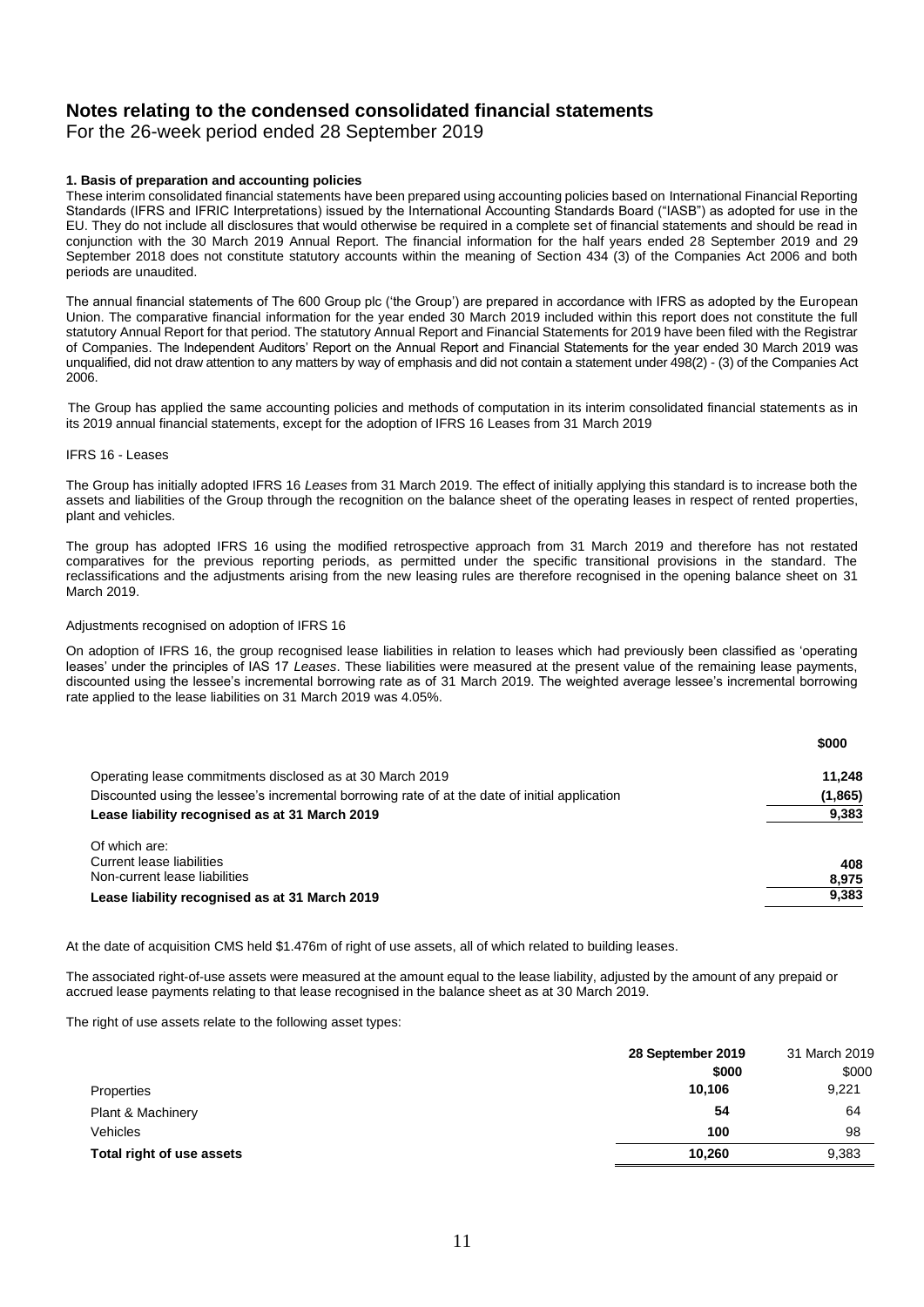# **Notes relating to the condensed consolidated financial statements**

For the 26-week period ended 28 September 2019

#### **1. Basis of preparation and accounting policies**

These interim consolidated financial statements have been prepared using accounting policies based on International Financial Reporting Standards (IFRS and IFRIC Interpretations) issued by the International Accounting Standards Board ("IASB") as adopted for use in the EU. They do not include all disclosures that would otherwise be required in a complete set of financial statements and should be read in conjunction with the 30 March 2019 Annual Report. The financial information for the half years ended 28 September 2019 and 29 September 2018 does not constitute statutory accounts within the meaning of Section 434 (3) of the Companies Act 2006 and both periods are unaudited.

The annual financial statements of The 600 Group plc ('the Group') are prepared in accordance with IFRS as adopted by the European Union. The comparative financial information for the year ended 30 March 2019 included within this report does not constitute the full statutory Annual Report for that period. The statutory Annual Report and Financial Statements for 2019 have been filed with the Registrar of Companies. The Independent Auditors' Report on the Annual Report and Financial Statements for the year ended 30 March 2019 was unqualified, did not draw attention to any matters by way of emphasis and did not contain a statement under 498(2) - (3) of the Companies Act 2006.

 The Group has applied the same accounting policies and methods of computation in its interim consolidated financial statements as in its 2019 annual financial statements, except for the adoption of IFRS 16 Leases from 31 March 2019

#### IFRS 16 - Leases

The Group has initially adopted IFRS 16 *Leases* from 31 March 2019. The effect of initially applying this standard is to increase both the assets and liabilities of the Group through the recognition on the balance sheet of the operating leases in respect of rented properties, plant and vehicles.

The group has adopted IFRS 16 using the modified retrospective approach from 31 March 2019 and therefore has not restated comparatives for the previous reporting periods, as permitted under the specific transitional provisions in the standard. The reclassifications and the adjustments arising from the new leasing rules are therefore recognised in the opening balance sheet on 31 March 2019.

#### Adjustments recognised on adoption of IFRS 16

On adoption of IFRS 16, the group recognised lease liabilities in relation to leases which had previously been classified as 'operating leases' under the principles of IAS 17 *Leases*. These liabilities were measured at the present value of the remaining lease payments, discounted using the lessee's incremental borrowing rate as of 31 March 2019. The weighted average lessee's incremental borrowing rate applied to the lease liabilities on 31 March 2019 was 4.05%.

|                                                                                                | \$000   |
|------------------------------------------------------------------------------------------------|---------|
| Operating lease commitments disclosed as at 30 March 2019                                      | 11.248  |
| Discounted using the lessee's incremental borrowing rate of at the date of initial application | (1,865) |
| Lease liability recognised as at 31 March 2019                                                 | 9,383   |
| Of which are:<br>Current lease liabilities                                                     | 408     |
| Non-current lease liabilities                                                                  | 8,975   |
| Lease liability recognised as at 31 March 2019                                                 | 9,383   |

At the date of acquisition CMS held \$1.476m of right of use assets, all of which related to building leases.

The associated right-of-use assets were measured at the amount equal to the lease liability, adjusted by the amount of any prepaid or accrued lease payments relating to that lease recognised in the balance sheet as at 30 March 2019.

The right of use assets relate to the following asset types:

|                           | 31 March 2019<br>28 September 2019 |       |
|---------------------------|------------------------------------|-------|
|                           | \$000                              | \$000 |
| Properties                | 10,106                             | 9,221 |
| Plant & Machinery         | 54                                 | 64    |
| Vehicles                  | 100                                | 98    |
| Total right of use assets | 10.260                             | 9,383 |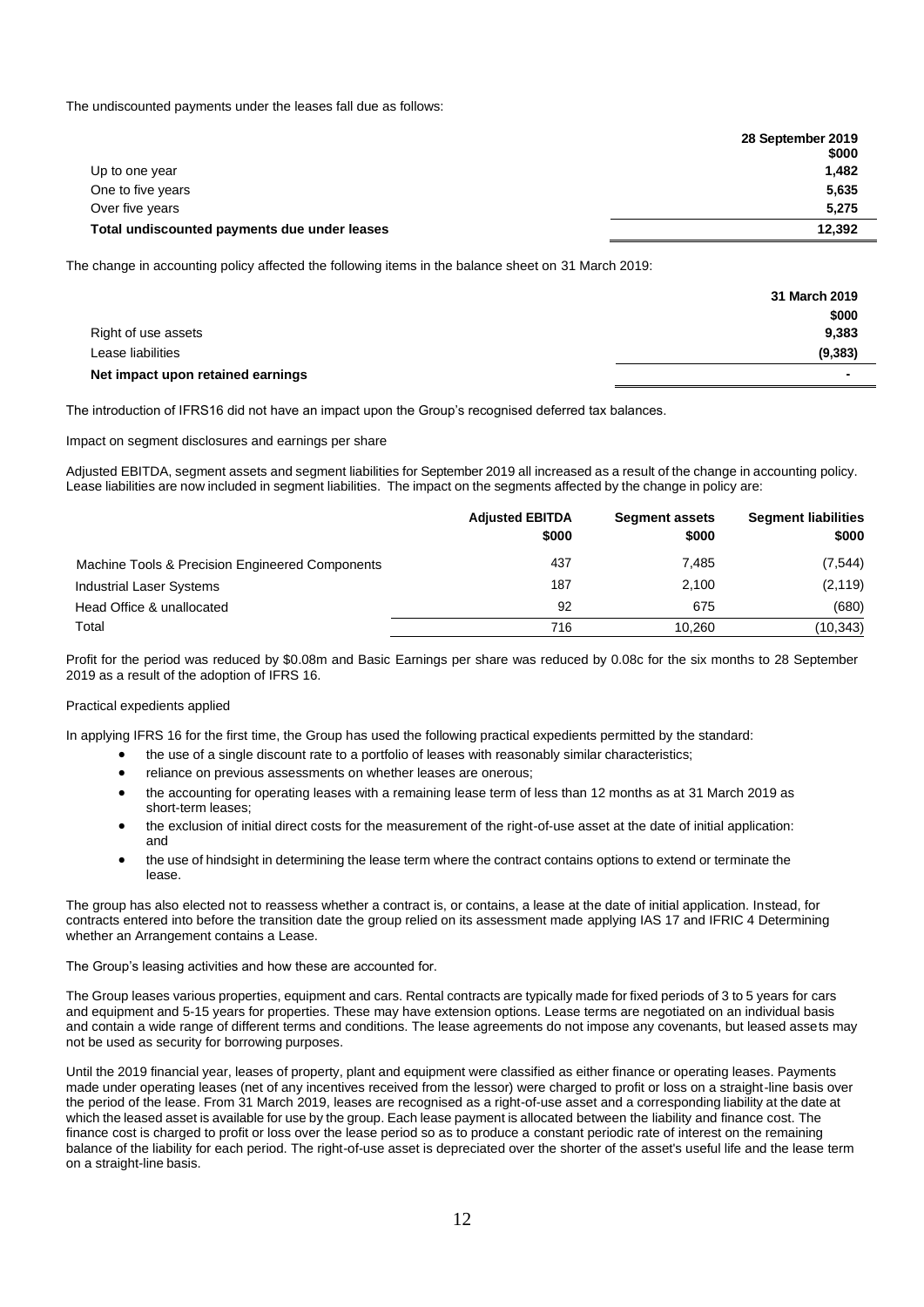The undiscounted payments under the leases fall due as follows:

|                                              | 28 September 2019<br>\$000 |
|----------------------------------------------|----------------------------|
| Up to one year                               | 1,482                      |
| One to five years                            | 5,635                      |
| Over five years                              | 5,275                      |
| Total undiscounted payments due under leases | 12,392                     |

The change in accounting policy affected the following items in the balance sheet on 31 March 2019:

|                                   | 31 March 2019            |
|-----------------------------------|--------------------------|
|                                   | \$000                    |
| Right of use assets               | 9,383                    |
| Lease liabilities                 | (9, 383)                 |
| Net impact upon retained earnings | $\overline{\phantom{a}}$ |

The introduction of IFRS16 did not have an impact upon the Group's recognised deferred tax balances.

Impact on segment disclosures and earnings per share

Adjusted EBITDA, segment assets and segment liabilities for September 2019 all increased as a result of the change in accounting policy. Lease liabilities are now included in segment liabilities. The impact on the segments affected by the change in policy are:

|                                                 | <b>Adjusted EBITDA</b><br>\$000 | <b>Segment assets</b><br>\$000 | <b>Segment liabilities</b><br>\$000 |
|-------------------------------------------------|---------------------------------|--------------------------------|-------------------------------------|
| Machine Tools & Precision Engineered Components | 437                             | 7.485                          | (7, 544)                            |
| Industrial Laser Systems                        | 187                             | 2,100                          | (2, 119)                            |
| Head Office & unallocated                       | 92                              | 675                            | (680)                               |
| Total                                           | 716                             | 10.260                         | (10, 343)                           |

Profit for the period was reduced by \$0.08m and Basic Earnings per share was reduced by 0.08c for the six months to 28 September 2019 as a result of the adoption of IFRS 16.

#### Practical expedients applied

In applying IFRS 16 for the first time, the Group has used the following practical expedients permitted by the standard:

- the use of a single discount rate to a portfolio of leases with reasonably similar characteristics;
- reliance on previous assessments on whether leases are onerous;
- the accounting for operating leases with a remaining lease term of less than 12 months as at 31 March 2019 as short-term leases;
- the exclusion of initial direct costs for the measurement of the right-of-use asset at the date of initial application: and
- the use of hindsight in determining the lease term where the contract contains options to extend or terminate the lease.

The group has also elected not to reassess whether a contract is, or contains, a lease at the date of initial application. Instead, for contracts entered into before the transition date the group relied on its assessment made applying IAS 17 and IFRIC 4 Determining whether an Arrangement contains a Lease.

The Group's leasing activities and how these are accounted for.

The Group leases various properties, equipment and cars. Rental contracts are typically made for fixed periods of 3 to 5 years for cars and equipment and 5-15 years for properties. These may have extension options. Lease terms are negotiated on an individual basis and contain a wide range of different terms and conditions. The lease agreements do not impose any covenants, but leased assets may not be used as security for borrowing purposes.

Until the 2019 financial year, leases of property, plant and equipment were classified as either finance or operating leases. Payments made under operating leases (net of any incentives received from the lessor) were charged to profit or loss on a straight-line basis over the period of the lease. From 31 March 2019, leases are recognised as a right-of-use asset and a corresponding liability at the date at which the leased asset is available for use by the group. Each lease payment is allocated between the liability and finance cost. The finance cost is charged to profit or loss over the lease period so as to produce a constant periodic rate of interest on the remaining balance of the liability for each period. The right-of-use asset is depreciated over the shorter of the asset's useful life and the lease term on a straight-line basis.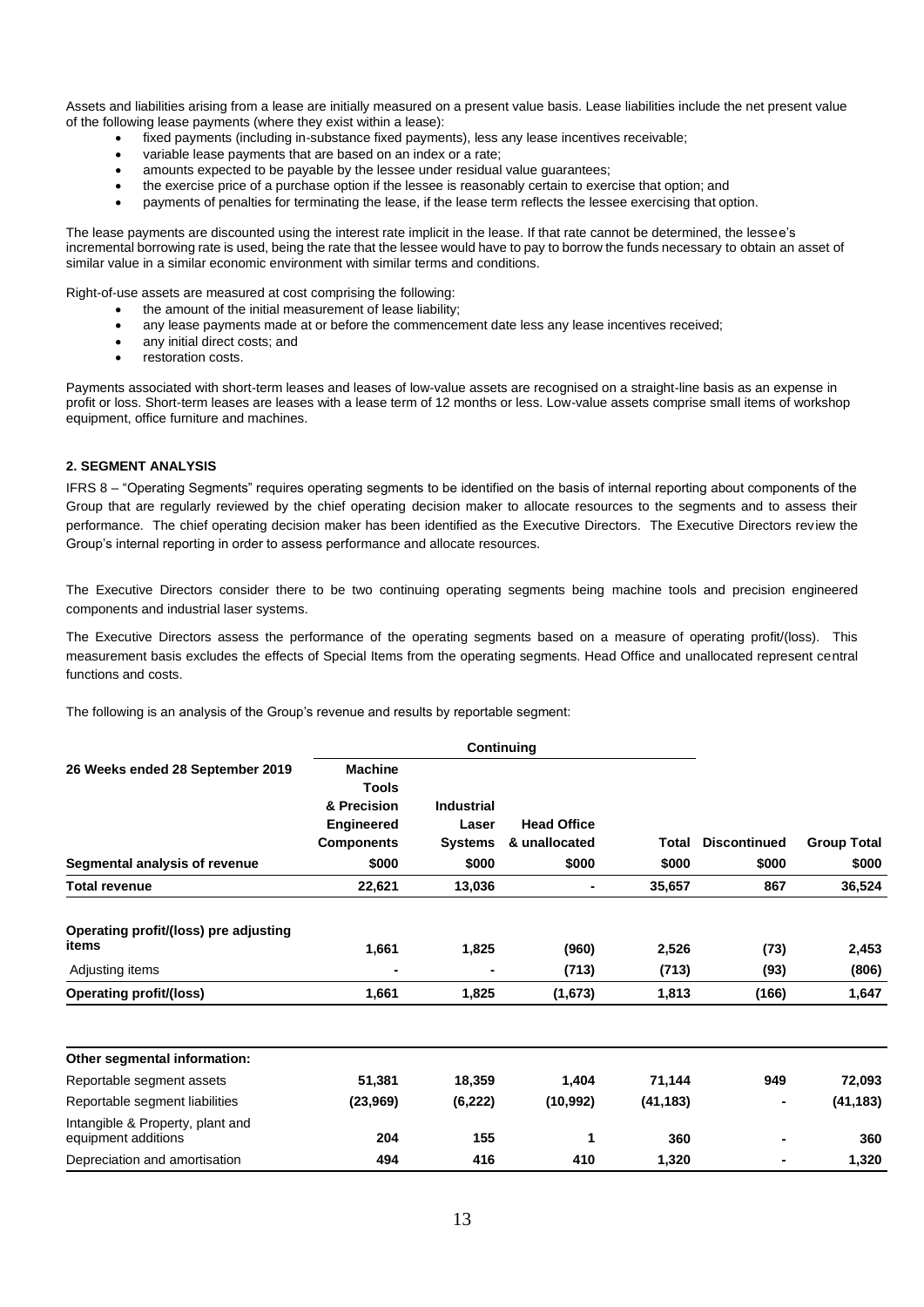Assets and liabilities arising from a lease are initially measured on a present value basis. Lease liabilities include the net present value of the following lease payments (where they exist within a lease):

- fixed payments (including in-substance fixed payments), less any lease incentives receivable;
- variable lease payments that are based on an index or a rate:
- amounts expected to be payable by the lessee under residual value guarantees;
- the exercise price of a purchase option if the lessee is reasonably certain to exercise that option; and
- payments of penalties for terminating the lease, if the lease term reflects the lessee exercising that option.

The lease payments are discounted using the interest rate implicit in the lease. If that rate cannot be determined, the lessee's incremental borrowing rate is used, being the rate that the lessee would have to pay to borrow the funds necessary to obtain an asset of similar value in a similar economic environment with similar terms and conditions.

Right-of-use assets are measured at cost comprising the following:

- the amount of the initial measurement of lease liability;
- any lease payments made at or before the commencement date less any lease incentives received;
- any initial direct costs: and
- restoration costs.

Payments associated with short-term leases and leases of low-value assets are recognised on a straight-line basis as an expense in profit or loss. Short-term leases are leases with a lease term of 12 months or less. Low-value assets comprise small items of workshop equipment, office furniture and machines.

#### **2. SEGMENT ANALYSIS**

IFRS 8 – "Operating Segments" requires operating segments to be identified on the basis of internal reporting about components of the Group that are regularly reviewed by the chief operating decision maker to allocate resources to the segments and to assess their performance. The chief operating decision maker has been identified as the Executive Directors. The Executive Directors review the Group's internal reporting in order to assess performance and allocate resources.

The Executive Directors consider there to be two continuing operating segments being machine tools and precision engineered components and industrial laser systems.

The Executive Directors assess the performance of the operating segments based on a measure of operating profit/(loss). This measurement basis excludes the effects of Special Items from the operating segments. Head Office and unallocated represent central functions and costs.

The following is an analysis of the Group's revenue and results by reportable segment:

|                                                         |                         | <b>Continuing</b> |                    |           |                     |                    |
|---------------------------------------------------------|-------------------------|-------------------|--------------------|-----------|---------------------|--------------------|
| 26 Weeks ended 28 September 2019                        | <b>Machine</b><br>Tools |                   |                    |           |                     |                    |
|                                                         | & Precision             | <b>Industrial</b> |                    |           |                     |                    |
|                                                         | <b>Engineered</b>       | Laser             | <b>Head Office</b> |           |                     |                    |
|                                                         | <b>Components</b>       | <b>Systems</b>    | & unallocated      | Total     | <b>Discontinued</b> | <b>Group Total</b> |
| Segmental analysis of revenue                           | \$000                   | \$000             | \$000              | \$000     | \$000               | \$000              |
| Total revenue                                           | 22,621                  | 13,036            | ٠                  | 35,657    | 867                 | 36,524             |
| Operating profit/(loss) pre adjusting<br>items          | 1,661                   | 1,825             | (960)              | 2,526     | (73)                | 2,453              |
| Adjusting items                                         |                         |                   | (713)              | (713)     | (93)                | (806)              |
| <b>Operating profit/(loss)</b>                          | 1,661                   | 1,825             | (1,673)            | 1,813     | (166)               | 1,647              |
| Other segmental information:                            |                         |                   |                    |           |                     |                    |
| Reportable segment assets                               | 51,381                  | 18,359            | 1,404              | 71,144    | 949                 | 72,093             |
| Reportable segment liabilities                          | (23, 969)               | (6,222)           | (10, 992)          | (41, 183) | $\blacksquare$      | (41, 183)          |
| Intangible & Property, plant and<br>equipment additions | 204                     | 155               | 1                  | 360       | $\blacksquare$      | 360                |
| Depreciation and amortisation                           | 494                     | 416               | 410                | 1,320     |                     | 1,320              |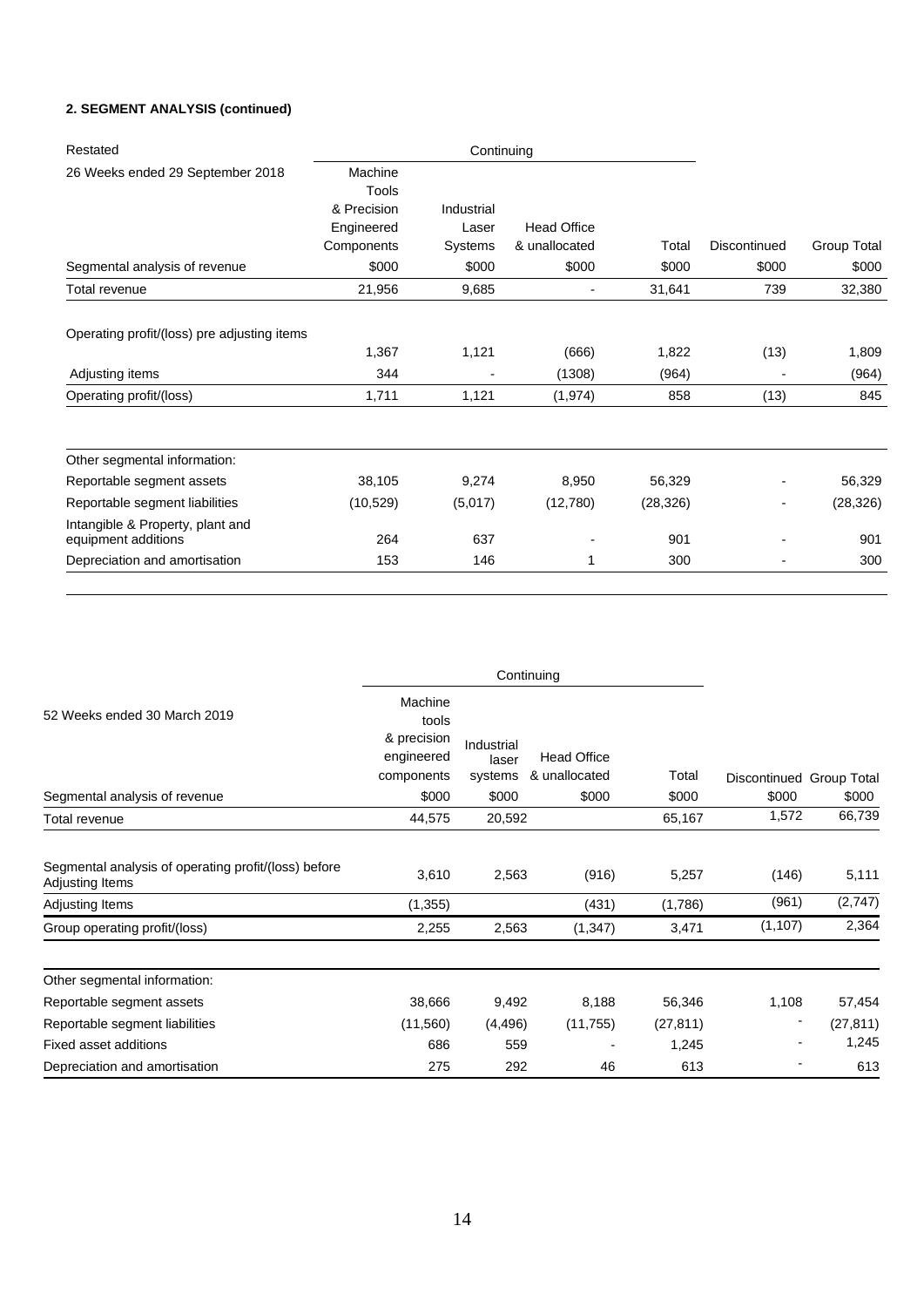## **2. SEGMENT ANALYSIS (continued)**

| Restated                                                |                  | Continuing |                    |           |                |                    |
|---------------------------------------------------------|------------------|------------|--------------------|-----------|----------------|--------------------|
| 26 Weeks ended 29 September 2018                        | Machine<br>Tools |            |                    |           |                |                    |
|                                                         | & Precision      | Industrial |                    |           |                |                    |
|                                                         | Engineered       | Laser      | <b>Head Office</b> |           |                |                    |
|                                                         | Components       | Systems    | & unallocated      | Total     | Discontinued   | <b>Group Total</b> |
| Segmental analysis of revenue                           | \$000            | \$000      | \$000              | \$000     | \$000          | \$000              |
| Total revenue                                           | 21,956           | 9,685      | -                  | 31,641    | 739            | 32,380             |
| Operating profit/(loss) pre adjusting items             |                  |            |                    |           |                |                    |
|                                                         | 1,367            | 1,121      | (666)              | 1,822     | (13)           | 1,809              |
| Adjusting items                                         | 344              |            | (1308)             | (964)     |                | (964)              |
| Operating profit/(loss)                                 | 1,711            | 1,121      | (1, 974)           | 858       | (13)           | 845                |
| Other segmental information:                            |                  |            |                    |           |                |                    |
| Reportable segment assets                               | 38,105           | 9,274      | 8,950              | 56,329    |                | 56,329             |
| Reportable segment liabilities                          | (10, 529)        | (5,017)    | (12,780)           | (28, 326) | $\overline{a}$ | (28, 326)          |
| Intangible & Property, plant and<br>equipment additions | 264              | 637        |                    | 901       |                | 901                |
| Depreciation and amortisation                           | 153              | 146        |                    | 300       | $\blacksquare$ | 300                |

|                                                                         | Continuing                                                  |                                |                                     |           |                          |           |
|-------------------------------------------------------------------------|-------------------------------------------------------------|--------------------------------|-------------------------------------|-----------|--------------------------|-----------|
| 52 Weeks ended 30 March 2019                                            | Machine<br>tools<br>& precision<br>engineered<br>components | Industrial<br>laser<br>systems | <b>Head Office</b><br>& unallocated | Total     | Discontinued Group Total |           |
| Segmental analysis of revenue                                           | \$000                                                       | \$000                          | \$000                               | \$000     | \$000                    | \$000     |
| Total revenue                                                           | 44,575                                                      | 20,592                         |                                     | 65,167    | 1,572                    | 66,739    |
| Segmental analysis of operating profit/(loss) before<br>Adjusting Items | 3,610                                                       | 2,563                          | (916)                               | 5,257     | (146)                    | 5,111     |
| Adjusting Items                                                         | (1, 355)                                                    |                                | (431)                               | (1,786)   | (961)                    | (2,747)   |
| Group operating profit/(loss)                                           | 2,255                                                       | 2,563                          | (1, 347)                            | 3,471     | (1, 107)                 | 2,364     |
| Other segmental information:                                            |                                                             |                                |                                     |           |                          |           |
| Reportable segment assets                                               | 38,666                                                      | 9,492                          | 8,188                               | 56,346    | 1,108                    | 57,454    |
| Reportable segment liabilities                                          | (11,560)                                                    | (4, 496)                       | (11,755)                            | (27, 811) |                          | (27, 811) |
| Fixed asset additions                                                   | 686                                                         | 559                            |                                     | 1,245     |                          | 1,245     |
| Depreciation and amortisation                                           | 275                                                         | 292                            | 46                                  | 613       |                          | 613       |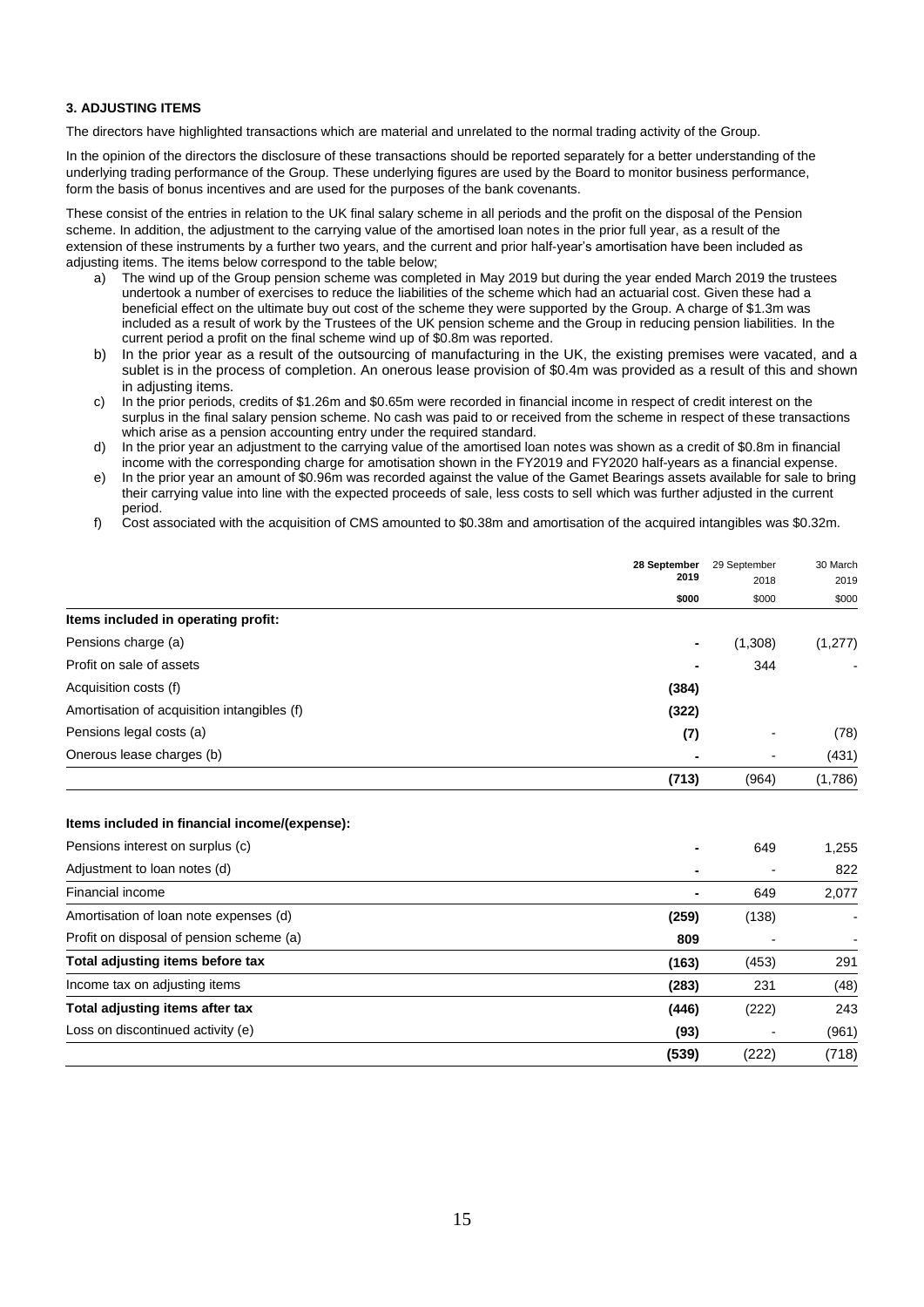#### **3. ADJUSTING ITEMS**

The directors have highlighted transactions which are material and unrelated to the normal trading activity of the Group.

In the opinion of the directors the disclosure of these transactions should be reported separately for a better understanding of the underlying trading performance of the Group. These underlying figures are used by the Board to monitor business performance, form the basis of bonus incentives and are used for the purposes of the bank covenants.

These consist of the entries in relation to the UK final salary scheme in all periods and the profit on the disposal of the Pension scheme. In addition, the adjustment to the carrying value of the amortised loan notes in the prior full year, as a result of the extension of these instruments by a further two years, and the current and prior half-year's amortisation have been included as adjusting items. The items below correspond to the table below;

- a) The wind up of the Group pension scheme was completed in May 2019 but during the year ended March 2019 the trustees undertook a number of exercises to reduce the liabilities of the scheme which had an actuarial cost. Given these had a beneficial effect on the ultimate buy out cost of the scheme they were supported by the Group. A charge of \$1.3m was included as a result of work by the Trustees of the UK pension scheme and the Group in reducing pension liabilities. In the current period a profit on the final scheme wind up of \$0.8m was reported.
- b) In the prior year as a result of the outsourcing of manufacturing in the UK, the existing premises were vacated, and a sublet is in the process of completion. An onerous lease provision of \$0.4m was provided as a result of this and shown in adjusting items.
- c) In the prior periods, credits of \$1.26m and \$0.65m were recorded in financial income in respect of credit interest on the surplus in the final salary pension scheme. No cash was paid to or received from the scheme in respect of these transactions which arise as a pension accounting entry under the required standard.
- d) In the prior year an adjustment to the carrying value of the amortised loan notes was shown as a credit of \$0.8m in financial income with the corresponding charge for amotisation shown in the FY2019 and FY2020 half-years as a financial expense.
- e) In the prior year an amount of \$0.96m was recorded against the value of the Gamet Bearings assets available for sale to bring their carrying value into line with the expected proceeds of sale, less costs to sell which was further adjusted in the current period.
- f) Cost associated with the acquisition of CMS amounted to \$0.38m and amortisation of the acquired intangibles was \$0.32m.

|                                             | 28 September<br>2019 | 29 September<br>2018     | 30 March<br>2019 |
|---------------------------------------------|----------------------|--------------------------|------------------|
|                                             | \$000                | \$000                    | \$000            |
| Items included in operating profit:         |                      |                          |                  |
| Pensions charge (a)                         | ۰                    | (1,308)                  | (1, 277)         |
| Profit on sale of assets                    | -                    | 344                      |                  |
| Acquisition costs (f)                       | (384)                |                          |                  |
| Amortisation of acquisition intangibles (f) | (322)                |                          |                  |
| Pensions legal costs (a)                    | (7)                  | $\overline{\phantom{a}}$ | (78)             |
| Onerous lease charges (b)                   |                      | $\overline{\phantom{a}}$ | (431)            |
|                                             | (713)                | (964)                    | (1,786)          |

#### **Items included in financial income/(expense):**

| Pensions interest on surplus (c)         | ۰     | 649   | 1,255 |
|------------------------------------------|-------|-------|-------|
| Adjustment to loan notes (d)             | ۰     |       | 822   |
| Financial income                         | ۰     | 649   | 2,077 |
| Amortisation of loan note expenses (d)   | (259) | (138) |       |
| Profit on disposal of pension scheme (a) | 809   |       |       |
| Total adjusting items before tax         | (163) | (453) | 291   |
| Income tax on adjusting items            | (283) | 231   | (48)  |
| Total adjusting items after tax          | (446) | (222) | 243   |
| Loss on discontinued activity (e)        | (93)  |       | (961) |
|                                          | (539) | (222) | (718) |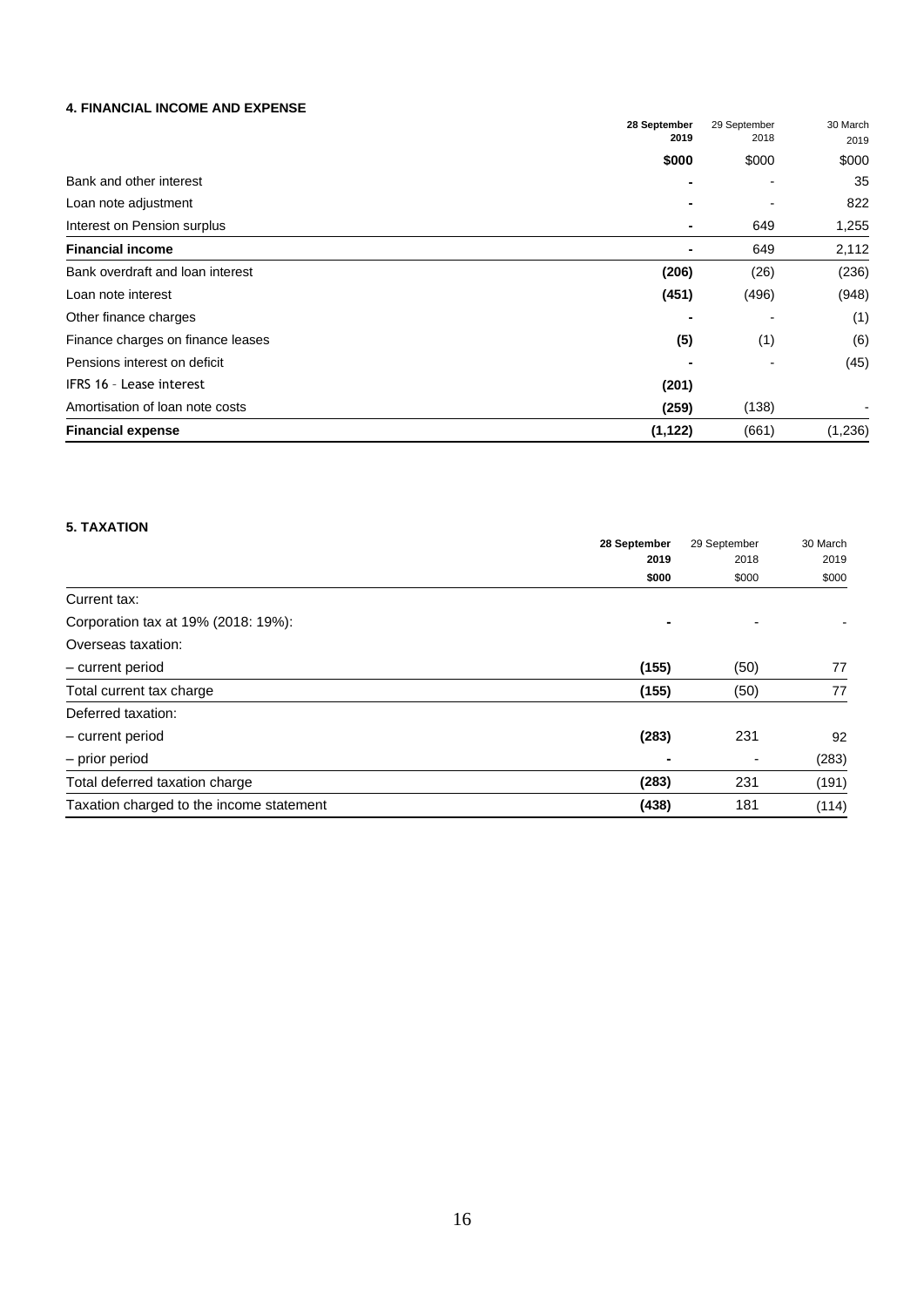## **4. FINANCIAL INCOME AND EXPENSE**

|                                   | 28 September | 29 September | 30 March |
|-----------------------------------|--------------|--------------|----------|
|                                   | 2019         | 2018         | 2019     |
|                                   | \$000        | \$000        | \$000    |
| Bank and other interest           |              |              | 35       |
| Loan note adjustment              |              |              | 822      |
| Interest on Pension surplus       | ۰            | 649          | 1,255    |
| <b>Financial income</b>           |              | 649          | 2,112    |
| Bank overdraft and loan interest  | (206)        | (26)         | (236)    |
| Loan note interest                | (451)        | (496)        | (948)    |
| Other finance charges             |              |              | (1)      |
| Finance charges on finance leases | (5)          | (1)          | (6)      |
| Pensions interest on deficit      |              |              | (45)     |
| IFRS 16 - Lease interest          | (201)        |              |          |
| Amortisation of loan note costs   | (259)        | (138)        |          |
| <b>Financial expense</b>          | (1, 122)     | (661)        | (1,236)  |

## **5. TAXATION**

|                                          | 28 September | 29 September<br>2018 | 30 March |
|------------------------------------------|--------------|----------------------|----------|
|                                          | 2019         |                      | 2019     |
|                                          | \$000        | \$000                | \$000    |
| Current tax:                             |              |                      |          |
| Corporation tax at 19% (2018: 19%):      |              |                      |          |
| Overseas taxation:                       |              |                      |          |
| - current period                         | (155)        | (50)                 | 77       |
| Total current tax charge                 | (155)        | (50)                 | 77       |
| Deferred taxation:                       |              |                      |          |
| - current period                         | (283)        | 231                  | 92       |
| - prior period                           |              |                      | (283)    |
| Total deferred taxation charge           | (283)        | 231                  | (191)    |
| Taxation charged to the income statement | (438)        | 181                  | (114)    |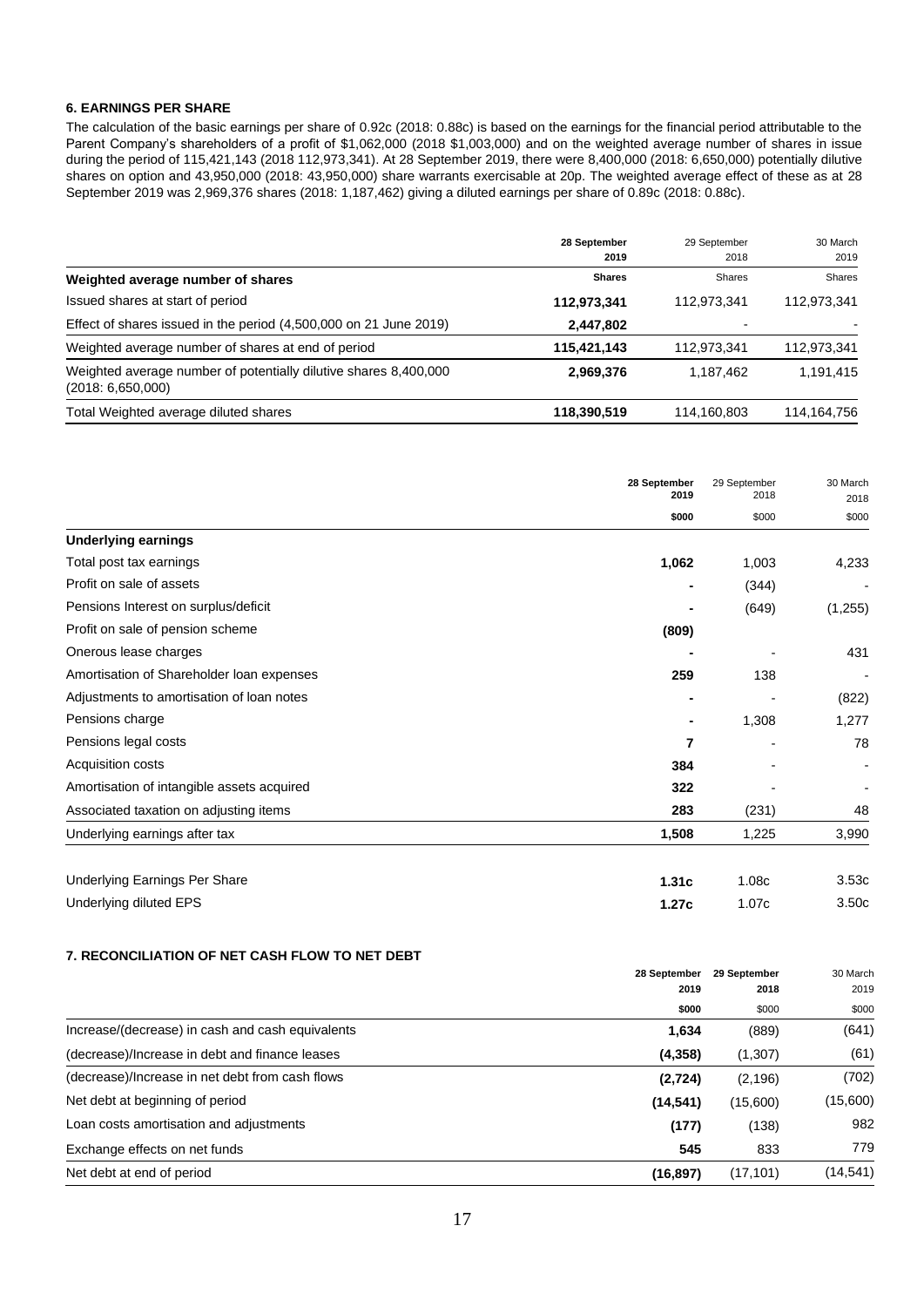#### **6. EARNINGS PER SHARE**

The calculation of the basic earnings per share of 0.92c (2018: 0.88c) is based on the earnings for the financial period attributable to the Parent Company's shareholders of a profit of \$1,062,000 (2018 \$1,003,000) and on the weighted average number of shares in issue during the period of 115,421,143 (2018 112,973,341). At 28 September 2019, there were 8,400,000 (2018: 6,650,000) potentially dilutive shares on option and 43,950,000 (2018: 43,950,000) share warrants exercisable at 20p. The weighted average effect of these as at 28 September 2019 was 2,969,376 shares (2018: 1,187,462) giving a diluted earnings per share of 0.89c (2018: 0.88c).

|                                                                                       | 28 September  | 29 September | 30 March      |
|---------------------------------------------------------------------------------------|---------------|--------------|---------------|
|                                                                                       | 2019          | 2018         | 2019          |
| Weighted average number of shares                                                     | <b>Shares</b> | Shares       | Shares        |
| Issued shares at start of period                                                      | 112,973,341   | 112,973,341  | 112,973,341   |
| Effect of shares issued in the period (4,500,000 on 21 June 2019)                     | 2,447,802     |              |               |
| Weighted average number of shares at end of period                                    | 115,421,143   | 112,973,341  | 112,973,341   |
| Weighted average number of potentially dilutive shares 8,400,000<br>(2018: 6,650,000) | 2,969,376     | 1.187.462    | 1,191,415     |
| Total Weighted average diluted shares                                                 | 118,390,519   | 114,160,803  | 114, 164, 756 |

|                                            | 28 September<br>2019 | 29 September<br>2018 | 30 March<br>2018 |
|--------------------------------------------|----------------------|----------------------|------------------|
|                                            | \$000                | \$000                | \$000            |
| <b>Underlying earnings</b>                 |                      |                      |                  |
| Total post tax earnings                    | 1,062                | 1,003                | 4,233            |
| Profit on sale of assets                   |                      | (344)                |                  |
| Pensions Interest on surplus/deficit       |                      | (649)                | (1,255)          |
| Profit on sale of pension scheme           | (809)                |                      |                  |
| Onerous lease charges                      |                      |                      | 431              |
| Amortisation of Shareholder loan expenses  | 259                  | 138                  |                  |
| Adjustments to amortisation of loan notes  |                      |                      | (822)            |
| Pensions charge                            |                      | 1,308                | 1,277            |
| Pensions legal costs                       | 7                    |                      | 78               |
| Acquisition costs                          | 384                  |                      |                  |
| Amortisation of intangible assets acquired | 322                  |                      |                  |
| Associated taxation on adjusting items     | 283                  | (231)                | 48               |
| Underlying earnings after tax              | 1,508                | 1,225                | 3,990            |
| Underlying Earnings Per Share              | 1.31c                | 1.08c                | 3.53c            |
| Underlying diluted EPS                     | 1.27c                | 1.07c                | 3.50c            |

#### **7. RECONCILIATION OF NET CASH FLOW TO NET DEBT**

|                                                  | 28 September<br>2019<br>\$000 | 29 September | 30 March<br>2019 |
|--------------------------------------------------|-------------------------------|--------------|------------------|
|                                                  |                               | 2018         |                  |
|                                                  |                               | \$000        | \$000            |
| Increase/(decrease) in cash and cash equivalents | 1,634                         | (889)        | (641)            |
| (decrease)/Increase in debt and finance leases   | (4,358)                       | (1,307)      | (61)             |
| (decrease)/Increase in net debt from cash flows  | (2,724)                       | (2, 196)     | (702)            |
| Net debt at beginning of period                  | (14, 541)                     | (15,600)     | (15,600)         |
| Loan costs amortisation and adjustments          | (177)                         | (138)        | 982              |
| Exchange effects on net funds                    | 545                           | 833          | 779              |
| Net debt at end of period                        | (16, 897)                     | (17, 101)    | (14,541)         |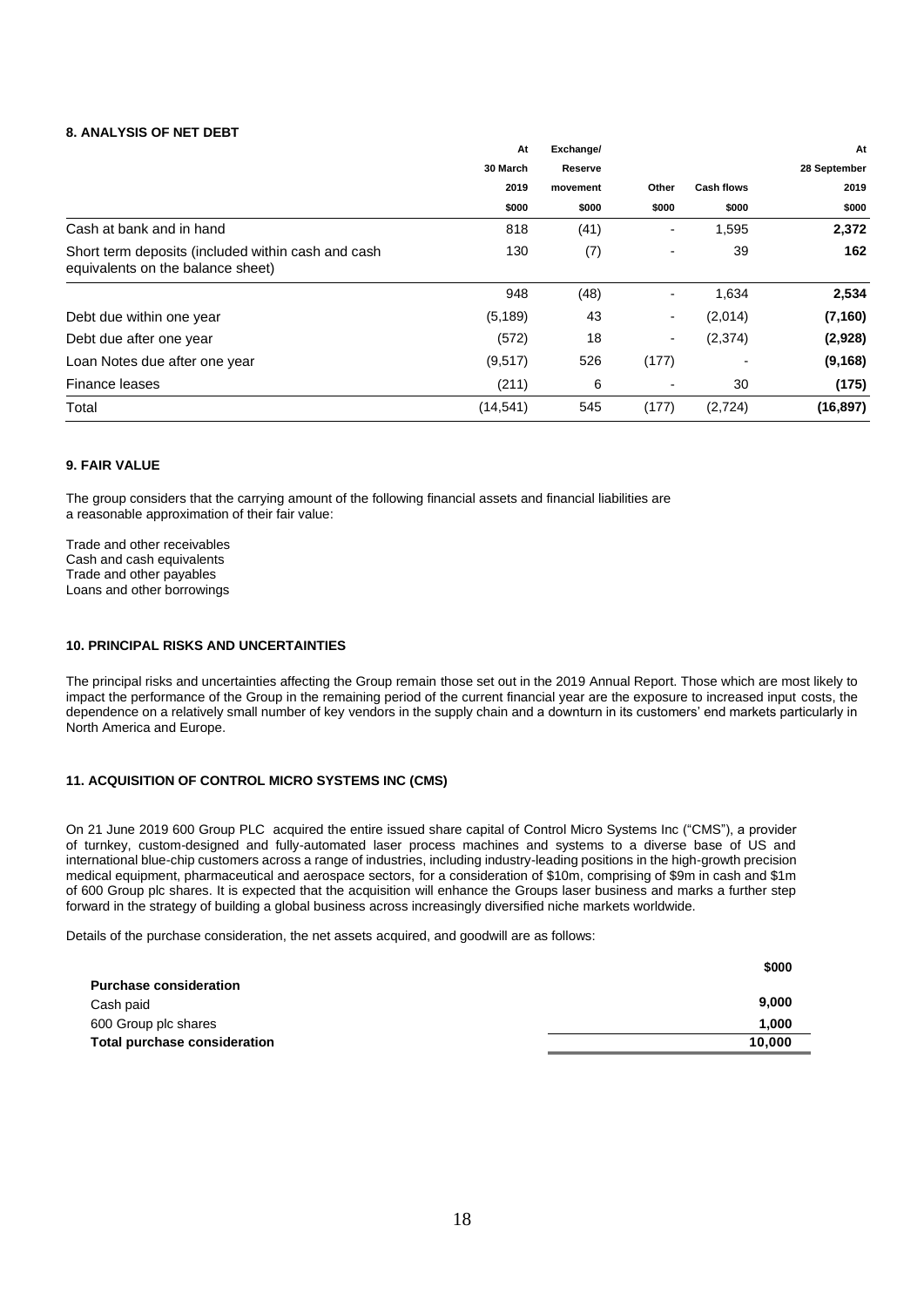#### **8. ANALYSIS OF NET DEBT**

|                                                                                         | At               | Exchange/ |                          |                   | At                   |
|-----------------------------------------------------------------------------------------|------------------|-----------|--------------------------|-------------------|----------------------|
|                                                                                         | 30 March<br>2019 | Reserve   | Other                    | <b>Cash flows</b> | 28 September<br>2019 |
|                                                                                         |                  | movement  |                          |                   |                      |
|                                                                                         | \$000            | \$000     | \$000                    | \$000             | \$000                |
| Cash at bank and in hand                                                                | 818              | (41)      | -                        | 1,595             | 2,372                |
| Short term deposits (included within cash and cash<br>equivalents on the balance sheet) | 130              | (7)       | $\blacksquare$           | 39                | 162                  |
|                                                                                         | 948              | (48)      | $\overline{a}$           | 1,634             | 2,534                |
| Debt due within one year                                                                | (5, 189)         | 43        | ۰                        | (2,014)           | (7, 160)             |
| Debt due after one year                                                                 | (572)            | 18        | $\blacksquare$           | (2,374)           | (2,928)              |
| Loan Notes due after one year                                                           | (9,517)          | 526       | (177)                    | $\blacksquare$    | (9, 168)             |
| Finance leases                                                                          | (211)            | 6         | $\overline{\phantom{0}}$ | 30                | (175)                |
| Total                                                                                   | (14, 541)        | 545       | (177)                    | (2,724)           | (16, 897)            |

#### **9. FAIR VALUE**

The group considers that the carrying amount of the following financial assets and financial liabilities are a reasonable approximation of their fair value:

Trade and other receivables Cash and cash equivalents Trade and other payables Loans and other borrowings

#### **10. PRINCIPAL RISKS AND UNCERTAINTIES**

The principal risks and uncertainties affecting the Group remain those set out in the 2019 Annual Report. Those which are most likely to impact the performance of the Group in the remaining period of the current financial year are the exposure to increased input costs, the dependence on a relatively small number of key vendors in the supply chain and a downturn in its customers' end markets particularly in North America and Europe.

#### **11. ACQUISITION OF CONTROL MICRO SYSTEMS INC (CMS)**

On 21 June 2019 600 Group PLC acquired the entire issued share capital of Control Micro Systems Inc ("CMS"), a provider of turnkey, custom-designed and fully-automated laser process machines and systems to a diverse base of US and international blue-chip customers across a range of industries, including industry-leading positions in the high-growth precision medical equipment, pharmaceutical and aerospace sectors, for a consideration of \$10m, comprising of \$9m in cash and \$1m of 600 Group plc shares. It is expected that the acquisition will enhance the Groups laser business and marks a further step forward in the strategy of building a global business across increasingly diversified niche markets worldwide.

Details of the purchase consideration, the net assets acquired, and goodwill are as follows:

|                               | \$000  |
|-------------------------------|--------|
| <b>Purchase consideration</b> |        |
| Cash paid                     | 9.000  |
| 600 Group plc shares          | 1.000  |
| Total purchase consideration  | 10.000 |